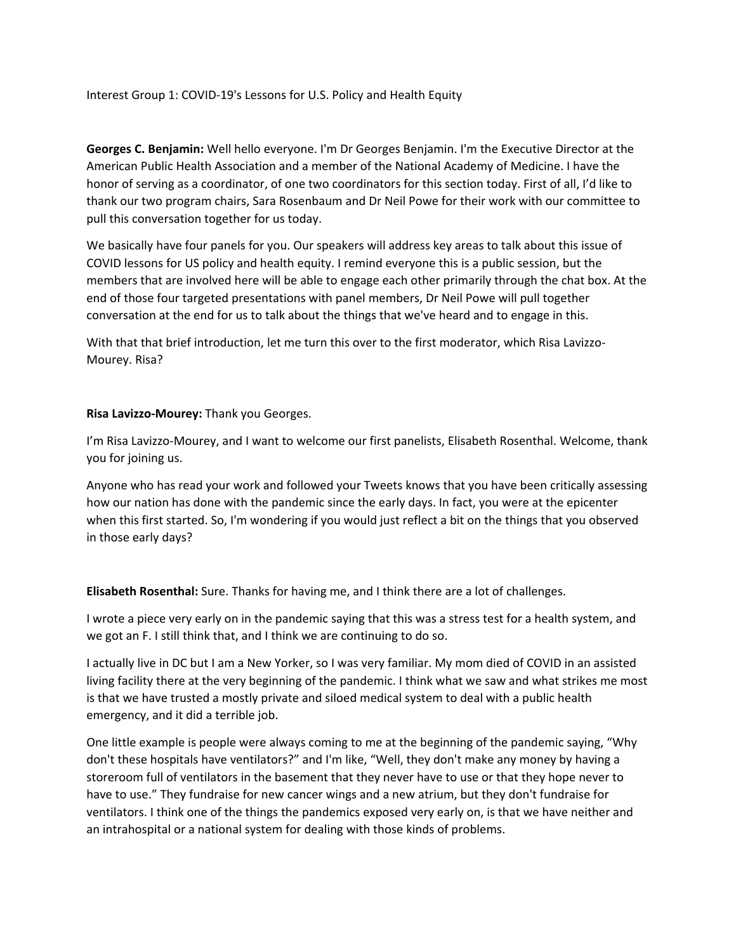Interest Group 1: COVID‐19's Lessons for U.S. Policy and Health Equity

**Georges C. Benjamin:** Well hello everyone. I'm Dr Georges Benjamin. I'm the Executive Director at the American Public Health Association and a member of the National Academy of Medicine. I have the honor of serving as a coordinator, of one two coordinators for this section today. First of all, I'd like to thank our two program chairs, Sara Rosenbaum and Dr Neil Powe for their work with our committee to pull this conversation together for us today.

We basically have four panels for you. Our speakers will address key areas to talk about this issue of COVID lessons for US policy and health equity. I remind everyone this is a public session, but the members that are involved here will be able to engage each other primarily through the chat box. At the end of those four targeted presentations with panel members, Dr Neil Powe will pull together conversation at the end for us to talk about the things that we've heard and to engage in this.

With that that brief introduction, let me turn this over to the first moderator, which Risa Lavizzo-Mourey. Risa?

## **Risa Lavizzo‐Mourey:** Thank you Georges.

I'm Risa Lavizzo‐Mourey, and I want to welcome our first panelists, Elisabeth Rosenthal. Welcome, thank you for joining us.

Anyone who has read your work and followed your Tweets knows that you have been critically assessing how our nation has done with the pandemic since the early days. In fact, you were at the epicenter when this first started. So, I'm wondering if you would just reflect a bit on the things that you observed in those early days?

**Elisabeth Rosenthal:** Sure. Thanks for having me, and I think there are a lot of challenges.

I wrote a piece very early on in the pandemic saying that this was a stress test for a health system, and we got an F. I still think that, and I think we are continuing to do so.

I actually live in DC but I am a New Yorker, so I was very familiar. My mom died of COVID in an assisted living facility there at the very beginning of the pandemic. I think what we saw and what strikes me most is that we have trusted a mostly private and siloed medical system to deal with a public health emergency, and it did a terrible job.

One little example is people were always coming to me at the beginning of the pandemic saying, "Why don't these hospitals have ventilators?" and I'm like, "Well, they don't make any money by having a storeroom full of ventilators in the basement that they never have to use or that they hope never to have to use." They fundraise for new cancer wings and a new atrium, but they don't fundraise for ventilators. I think one of the things the pandemics exposed very early on, is that we have neither and an intrahospital or a national system for dealing with those kinds of problems.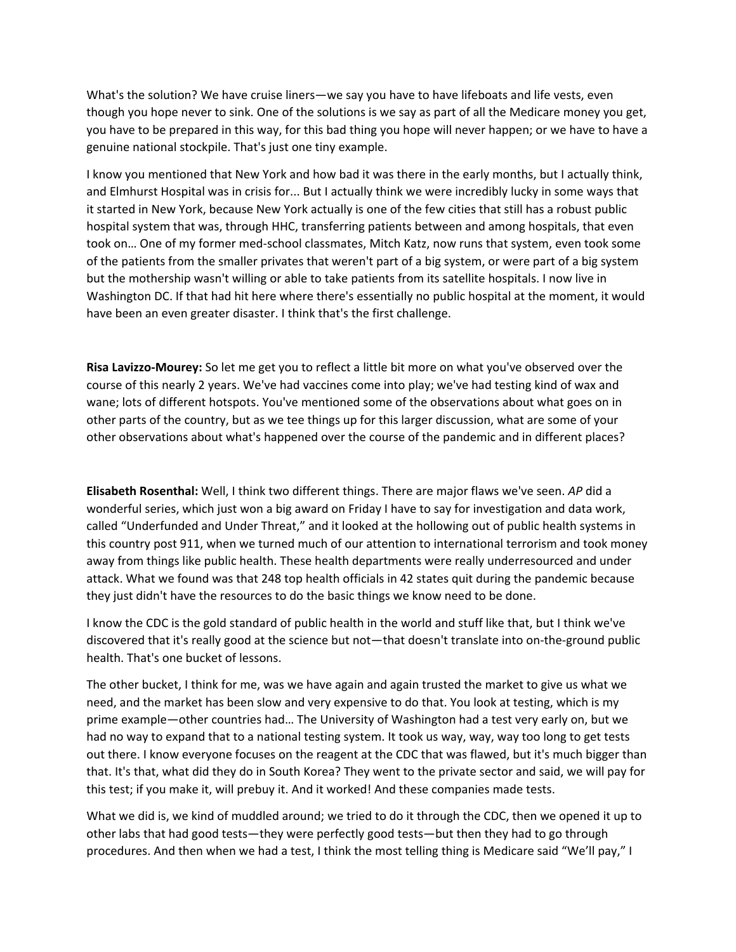What's the solution? We have cruise liners—we say you have to have lifeboats and life vests, even though you hope never to sink. One of the solutions is we say as part of all the Medicare money you get, you have to be prepared in this way, for this bad thing you hope will never happen; or we have to have a genuine national stockpile. That's just one tiny example.

I know you mentioned that New York and how bad it was there in the early months, but I actually think, and Elmhurst Hospital was in crisis for... But I actually think we were incredibly lucky in some ways that it started in New York, because New York actually is one of the few cities that still has a robust public hospital system that was, through HHC, transferring patients between and among hospitals, that even took on… One of my former med‐school classmates, Mitch Katz, now runs that system, even took some of the patients from the smaller privates that weren't part of a big system, or were part of a big system but the mothership wasn't willing or able to take patients from its satellite hospitals. I now live in Washington DC. If that had hit here where there's essentially no public hospital at the moment, it would have been an even greater disaster. I think that's the first challenge.

**Risa Lavizzo‐Mourey:** So let me get you to reflect a little bit more on what you've observed over the course of this nearly 2 years. We've had vaccines come into play; we've had testing kind of wax and wane; lots of different hotspots. You've mentioned some of the observations about what goes on in other parts of the country, but as we tee things up for this larger discussion, what are some of your other observations about what's happened over the course of the pandemic and in different places?

**Elisabeth Rosenthal:** Well, I think two different things. There are major flaws we've seen. *AP* did a wonderful series, which just won a big award on Friday I have to say for investigation and data work, called "Underfunded and Under Threat," and it looked at the hollowing out of public health systems in this country post 911, when we turned much of our attention to international terrorism and took money away from things like public health. These health departments were really underresourced and under attack. What we found was that 248 top health officials in 42 states quit during the pandemic because they just didn't have the resources to do the basic things we know need to be done.

I know the CDC is the gold standard of public health in the world and stuff like that, but I think we've discovered that it's really good at the science but not—that doesn't translate into on‐the‐ground public health. That's one bucket of lessons.

The other bucket, I think for me, was we have again and again trusted the market to give us what we need, and the market has been slow and very expensive to do that. You look at testing, which is my prime example—other countries had… The University of Washington had a test very early on, but we had no way to expand that to a national testing system. It took us way, way, way too long to get tests out there. I know everyone focuses on the reagent at the CDC that was flawed, but it's much bigger than that. It's that, what did they do in South Korea? They went to the private sector and said, we will pay for this test; if you make it, will prebuy it. And it worked! And these companies made tests.

What we did is, we kind of muddled around; we tried to do it through the CDC, then we opened it up to other labs that had good tests—they were perfectly good tests—but then they had to go through procedures. And then when we had a test, I think the most telling thing is Medicare said "We'll pay," I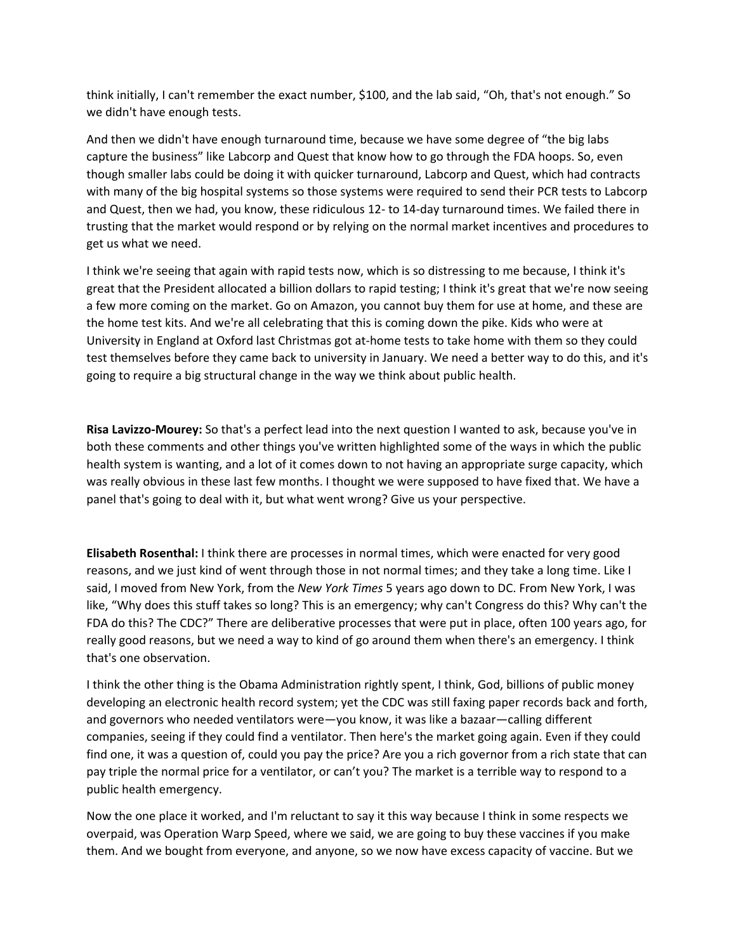think initially, I can't remember the exact number, \$100, and the lab said, "Oh, that's not enough." So we didn't have enough tests.

And then we didn't have enough turnaround time, because we have some degree of "the big labs capture the business" like Labcorp and Quest that know how to go through the FDA hoops. So, even though smaller labs could be doing it with quicker turnaround, Labcorp and Quest, which had contracts with many of the big hospital systems so those systems were required to send their PCR tests to Labcorp and Quest, then we had, you know, these ridiculous 12‐ to 14‐day turnaround times. We failed there in trusting that the market would respond or by relying on the normal market incentives and procedures to get us what we need.

I think we're seeing that again with rapid tests now, which is so distressing to me because, I think it's great that the President allocated a billion dollars to rapid testing; I think it's great that we're now seeing a few more coming on the market. Go on Amazon, you cannot buy them for use at home, and these are the home test kits. And we're all celebrating that this is coming down the pike. Kids who were at University in England at Oxford last Christmas got at‐home tests to take home with them so they could test themselves before they came back to university in January. We need a better way to do this, and it's going to require a big structural change in the way we think about public health.

**Risa Lavizzo‐Mourey:** So that's a perfect lead into the next question I wanted to ask, because you've in both these comments and other things you've written highlighted some of the ways in which the public health system is wanting, and a lot of it comes down to not having an appropriate surge capacity, which was really obvious in these last few months. I thought we were supposed to have fixed that. We have a panel that's going to deal with it, but what went wrong? Give us your perspective.

**Elisabeth Rosenthal:** I think there are processes in normal times, which were enacted for very good reasons, and we just kind of went through those in not normal times; and they take a long time. Like I said, I moved from New York, from the *New York Times* 5 years ago down to DC. From New York, I was like, "Why does this stuff takes so long? This is an emergency; why can't Congress do this? Why can't the FDA do this? The CDC?" There are deliberative processes that were put in place, often 100 years ago, for really good reasons, but we need a way to kind of go around them when there's an emergency. I think that's one observation.

I think the other thing is the Obama Administration rightly spent, I think, God, billions of public money developing an electronic health record system; yet the CDC was still faxing paper records back and forth, and governors who needed ventilators were—you know, it was like a bazaar—calling different companies, seeing if they could find a ventilator. Then here's the market going again. Even if they could find one, it was a question of, could you pay the price? Are you a rich governor from a rich state that can pay triple the normal price for a ventilator, or can't you? The market is a terrible way to respond to a public health emergency.

Now the one place it worked, and I'm reluctant to say it this way because I think in some respects we overpaid, was Operation Warp Speed, where we said, we are going to buy these vaccines if you make them. And we bought from everyone, and anyone, so we now have excess capacity of vaccine. But we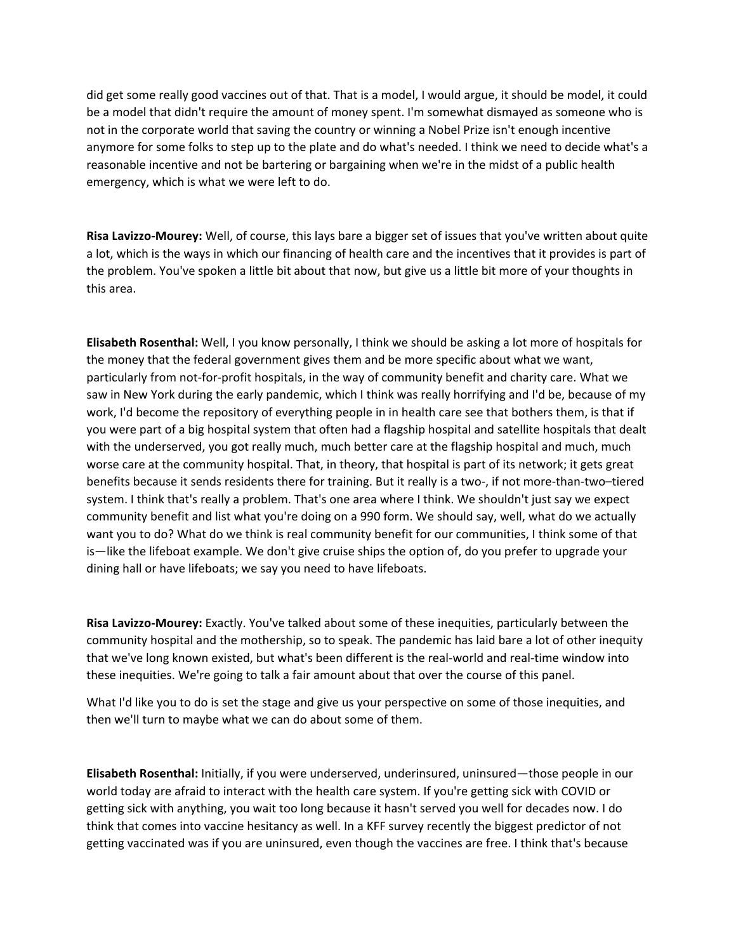did get some really good vaccines out of that. That is a model, I would argue, it should be model, it could be a model that didn't require the amount of money spent. I'm somewhat dismayed as someone who is not in the corporate world that saving the country or winning a Nobel Prize isn't enough incentive anymore for some folks to step up to the plate and do what's needed. I think we need to decide what's a reasonable incentive and not be bartering or bargaining when we're in the midst of a public health emergency, which is what we were left to do.

**Risa Lavizzo‐Mourey:** Well, of course, this lays bare a bigger set of issues that you've written about quite a lot, which is the ways in which our financing of health care and the incentives that it provides is part of the problem. You've spoken a little bit about that now, but give us a little bit more of your thoughts in this area.

**Elisabeth Rosenthal:** Well, I you know personally, I think we should be asking a lot more of hospitals for the money that the federal government gives them and be more specific about what we want, particularly from not-for-profit hospitals, in the way of community benefit and charity care. What we saw in New York during the early pandemic, which I think was really horrifying and I'd be, because of my work, I'd become the repository of everything people in in health care see that bothers them, is that if you were part of a big hospital system that often had a flagship hospital and satellite hospitals that dealt with the underserved, you got really much, much better care at the flagship hospital and much, much worse care at the community hospital. That, in theory, that hospital is part of its network; it gets great benefits because it sends residents there for training. But it really is a two-, if not more-than-two–tiered system. I think that's really a problem. That's one area where I think. We shouldn't just say we expect community benefit and list what you're doing on a 990 form. We should say, well, what do we actually want you to do? What do we think is real community benefit for our communities, I think some of that is—like the lifeboat example. We don't give cruise ships the option of, do you prefer to upgrade your dining hall or have lifeboats; we say you need to have lifeboats.

**Risa Lavizzo‐Mourey:** Exactly. You've talked about some of these inequities, particularly between the community hospital and the mothership, so to speak. The pandemic has laid bare a lot of other inequity that we've long known existed, but what's been different is the real‐world and real‐time window into these inequities. We're going to talk a fair amount about that over the course of this panel.

What I'd like you to do is set the stage and give us your perspective on some of those inequities, and then we'll turn to maybe what we can do about some of them.

**Elisabeth Rosenthal:** Initially, if you were underserved, underinsured, uninsured—those people in our world today are afraid to interact with the health care system. If you're getting sick with COVID or getting sick with anything, you wait too long because it hasn't served you well for decades now. I do think that comes into vaccine hesitancy as well. In a KFF survey recently the biggest predictor of not getting vaccinated was if you are uninsured, even though the vaccines are free. I think that's because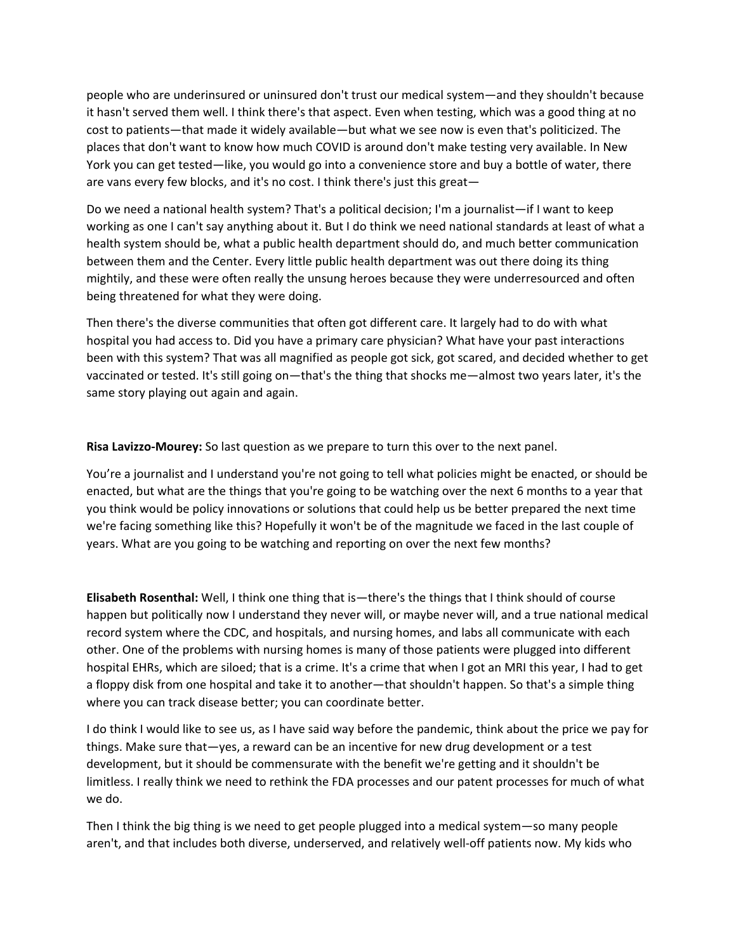people who are underinsured or uninsured don't trust our medical system—and they shouldn't because it hasn't served them well. I think there's that aspect. Even when testing, which was a good thing at no cost to patients—that made it widely available—but what we see now is even that's politicized. The places that don't want to know how much COVID is around don't make testing very available. In New York you can get tested—like, you would go into a convenience store and buy a bottle of water, there are vans every few blocks, and it's no cost. I think there's just this great—

Do we need a national health system? That's a political decision; I'm a journalist—if I want to keep working as one I can't say anything about it. But I do think we need national standards at least of what a health system should be, what a public health department should do, and much better communication between them and the Center. Every little public health department was out there doing its thing mightily, and these were often really the unsung heroes because they were underresourced and often being threatened for what they were doing.

Then there's the diverse communities that often got different care. It largely had to do with what hospital you had access to. Did you have a primary care physician? What have your past interactions been with this system? That was all magnified as people got sick, got scared, and decided whether to get vaccinated or tested. It's still going on—that's the thing that shocks me—almost two years later, it's the same story playing out again and again.

**Risa Lavizzo‐Mourey:** So last question as we prepare to turn this over to the next panel.

You're a journalist and I understand you're not going to tell what policies might be enacted, or should be enacted, but what are the things that you're going to be watching over the next 6 months to a year that you think would be policy innovations or solutions that could help us be better prepared the next time we're facing something like this? Hopefully it won't be of the magnitude we faced in the last couple of years. What are you going to be watching and reporting on over the next few months?

**Elisabeth Rosenthal:** Well, I think one thing that is—there's the things that I think should of course happen but politically now I understand they never will, or maybe never will, and a true national medical record system where the CDC, and hospitals, and nursing homes, and labs all communicate with each other. One of the problems with nursing homes is many of those patients were plugged into different hospital EHRs, which are siloed; that is a crime. It's a crime that when I got an MRI this year, I had to get a floppy disk from one hospital and take it to another—that shouldn't happen. So that's a simple thing where you can track disease better; you can coordinate better.

I do think I would like to see us, as I have said way before the pandemic, think about the price we pay for things. Make sure that—yes, a reward can be an incentive for new drug development or a test development, but it should be commensurate with the benefit we're getting and it shouldn't be limitless. I really think we need to rethink the FDA processes and our patent processes for much of what we do.

Then I think the big thing is we need to get people plugged into a medical system—so many people aren't, and that includes both diverse, underserved, and relatively well‐off patients now. My kids who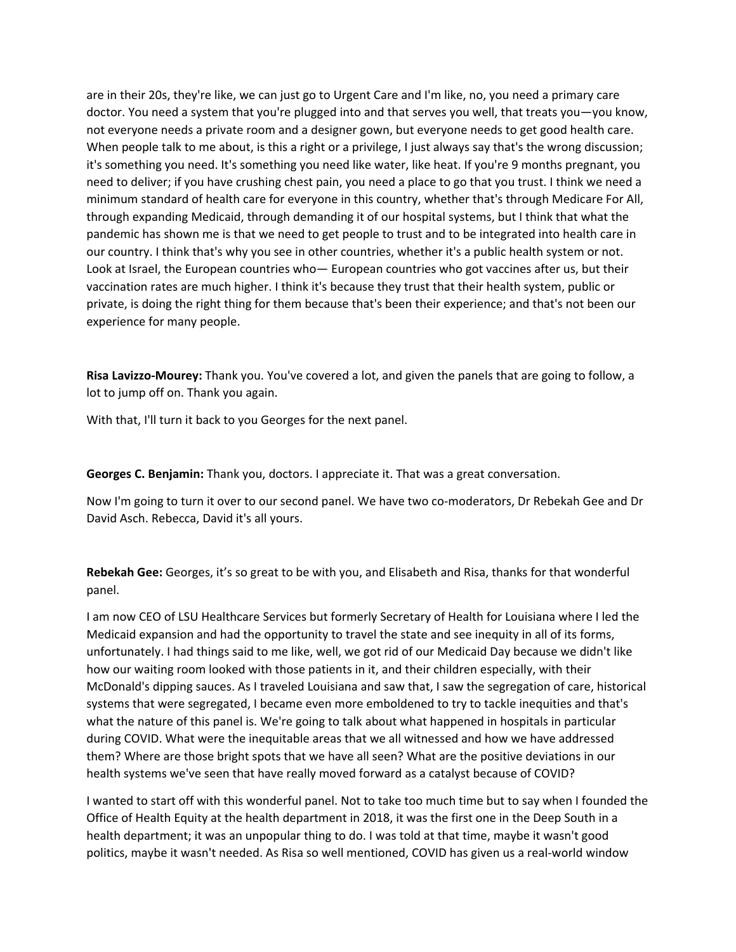are in their 20s, they're like, we can just go to Urgent Care and I'm like, no, you need a primary care doctor. You need a system that you're plugged into and that serves you well, that treats you—you know, not everyone needs a private room and a designer gown, but everyone needs to get good health care. When people talk to me about, is this a right or a privilege, I just always say that's the wrong discussion; it's something you need. It's something you need like water, like heat. If you're 9 months pregnant, you need to deliver; if you have crushing chest pain, you need a place to go that you trust. I think we need a minimum standard of health care for everyone in this country, whether that's through Medicare For All, through expanding Medicaid, through demanding it of our hospital systems, but I think that what the pandemic has shown me is that we need to get people to trust and to be integrated into health care in our country. I think that's why you see in other countries, whether it's a public health system or not. Look at Israel, the European countries who— European countries who got vaccines after us, but their vaccination rates are much higher. I think it's because they trust that their health system, public or private, is doing the right thing for them because that's been their experience; and that's not been our experience for many people.

**Risa Lavizzo‐Mourey:** Thank you. You've covered a lot, and given the panels that are going to follow, a lot to jump off on. Thank you again.

With that, I'll turn it back to you Georges for the next panel.

**Georges C. Benjamin:** Thank you, doctors. I appreciate it. That was a great conversation.

Now I'm going to turn it over to our second panel. We have two co-moderators, Dr Rebekah Gee and Dr David Asch. Rebecca, David it's all yours.

**Rebekah Gee:** Georges, it's so great to be with you, and Elisabeth and Risa, thanks for that wonderful panel.

I am now CEO of LSU Healthcare Services but formerly Secretary of Health for Louisiana where I led the Medicaid expansion and had the opportunity to travel the state and see inequity in all of its forms, unfortunately. I had things said to me like, well, we got rid of our Medicaid Day because we didn't like how our waiting room looked with those patients in it, and their children especially, with their McDonald's dipping sauces. As I traveled Louisiana and saw that, I saw the segregation of care, historical systems that were segregated, I became even more emboldened to try to tackle inequities and that's what the nature of this panel is. We're going to talk about what happened in hospitals in particular during COVID. What were the inequitable areas that we all witnessed and how we have addressed them? Where are those bright spots that we have all seen? What are the positive deviations in our health systems we've seen that have really moved forward as a catalyst because of COVID?

I wanted to start off with this wonderful panel. Not to take too much time but to say when I founded the Office of Health Equity at the health department in 2018, it was the first one in the Deep South in a health department; it was an unpopular thing to do. I was told at that time, maybe it wasn't good politics, maybe it wasn't needed. As Risa so well mentioned, COVID has given us a real‐world window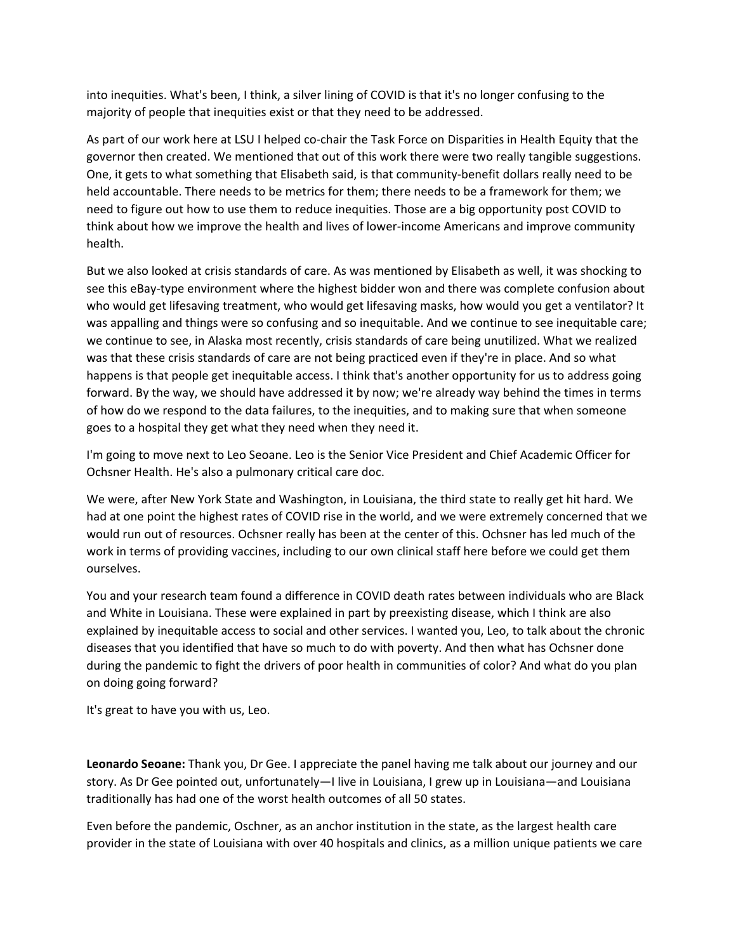into inequities. What's been, I think, a silver lining of COVID is that it's no longer confusing to the majority of people that inequities exist or that they need to be addressed.

As part of our work here at LSU I helped co-chair the Task Force on Disparities in Health Equity that the governor then created. We mentioned that out of this work there were two really tangible suggestions. One, it gets to what something that Elisabeth said, is that community‐benefit dollars really need to be held accountable. There needs to be metrics for them; there needs to be a framework for them; we need to figure out how to use them to reduce inequities. Those are a big opportunity post COVID to think about how we improve the health and lives of lower‐income Americans and improve community health.

But we also looked at crisis standards of care. As was mentioned by Elisabeth as well, it was shocking to see this eBay‐type environment where the highest bidder won and there was complete confusion about who would get lifesaving treatment, who would get lifesaving masks, how would you get a ventilator? It was appalling and things were so confusing and so inequitable. And we continue to see inequitable care; we continue to see, in Alaska most recently, crisis standards of care being unutilized. What we realized was that these crisis standards of care are not being practiced even if they're in place. And so what happens is that people get inequitable access. I think that's another opportunity for us to address going forward. By the way, we should have addressed it by now; we're already way behind the times in terms of how do we respond to the data failures, to the inequities, and to making sure that when someone goes to a hospital they get what they need when they need it.

I'm going to move next to Leo Seoane. Leo is the Senior Vice President and Chief Academic Officer for Ochsner Health. He's also a pulmonary critical care doc.

We were, after New York State and Washington, in Louisiana, the third state to really get hit hard. We had at one point the highest rates of COVID rise in the world, and we were extremely concerned that we would run out of resources. Ochsner really has been at the center of this. Ochsner has led much of the work in terms of providing vaccines, including to our own clinical staff here before we could get them ourselves.

You and your research team found a difference in COVID death rates between individuals who are Black and White in Louisiana. These were explained in part by preexisting disease, which I think are also explained by inequitable access to social and other services. I wanted you, Leo, to talk about the chronic diseases that you identified that have so much to do with poverty. And then what has Ochsner done during the pandemic to fight the drivers of poor health in communities of color? And what do you plan on doing going forward?

It's great to have you with us, Leo.

**Leonardo Seoane:** Thank you, Dr Gee. I appreciate the panel having me talk about our journey and our story. As Dr Gee pointed out, unfortunately—I live in Louisiana, I grew up in Louisiana—and Louisiana traditionally has had one of the worst health outcomes of all 50 states.

Even before the pandemic, Oschner, as an anchor institution in the state, as the largest health care provider in the state of Louisiana with over 40 hospitals and clinics, as a million unique patients we care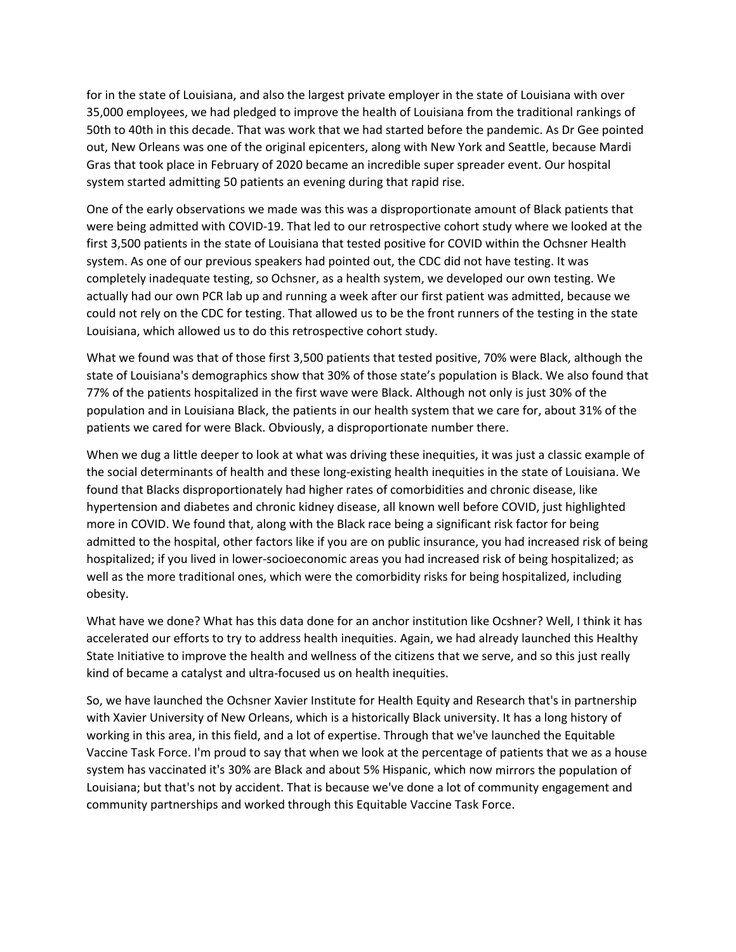for in the state of Louisiana, and also the largest private employer in the state of Louisiana with over 35,000 employees, we had pledged to improve the health of Louisiana from the traditional rankings of 50th to 40th in this decade. That was work that we had started before the pandemic. As Dr Gee pointed out, New Orleans was one of the original epicenters, along with New York and Seattle, because Mardi Gras that took place in February of 2020 became an incredible super spreader event. Our hospital system started admitting 50 patients an evening during that rapid rise.

One of the early observations we made was this was a disproportionate amount of Black patients that were being admitted with COVID‐19. That led to our retrospective cohort study where we looked at the first 3,500 patients in the state of Louisiana that tested positive for COVID within the Ochsner Health system. As one of our previous speakers had pointed out, the CDC did not have testing. It was completely inadequate testing, so Ochsner, as a health system, we developed our own testing. We actually had our own PCR lab up and running a week after our first patient was admitted, because we could not rely on the CDC for testing. That allowed us to be the front runners of the testing in the state Louisiana, which allowed us to do this retrospective cohort study.

What we found was that of those first 3,500 patients that tested positive, 70% were Black, although the state of Louisiana's demographics show that 30% of those state's population is Black. We also found that 77% of the patients hospitalized in the first wave were Black. Although not only is just 30% of the population and in Louisiana Black, the patients in our health system that we care for, about 31% of the patients we cared for were Black. Obviously, a disproportionate number there.

When we dug a little deeper to look at what was driving these inequities, it was just a classic example of the social determinants of health and these long‐existing health inequities in the state of Louisiana. We found that Blacks disproportionately had higher rates of comorbidities and chronic disease, like hypertension and diabetes and chronic kidney disease, all known well before COVID, just highlighted more in COVID. We found that, along with the Black race being a significant risk factor for being admitted to the hospital, other factors like if you are on public insurance, you had increased risk of being hospitalized; if you lived in lower-socioeconomic areas you had increased risk of being hospitalized; as well as the more traditional ones, which were the comorbidity risks for being hospitalized, including obesity.

What have we done? What has this data done for an anchor institution like Ocshner? Well, I think it has accelerated our efforts to try to address health inequities. Again, we had already launched this Healthy State Initiative to improve the health and wellness of the citizens that we serve, and so this just really kind of became a catalyst and ultra‐focused us on health inequities.

So, we have launched the Ochsner Xavier Institute for Health Equity and Research that's in partnership with Xavier University of New Orleans, which is a historically Black university. It has a long history of working in this area, in this field, and a lot of expertise. Through that we've launched the Equitable Vaccine Task Force. I'm proud to say that when we look at the percentage of patients that we as a house system has vaccinated it's 30% are Black and about 5% Hispanic, which now mirrors the population of Louisiana; but that's not by accident. That is because we've done a lot of community engagement and community partnerships and worked through this Equitable Vaccine Task Force.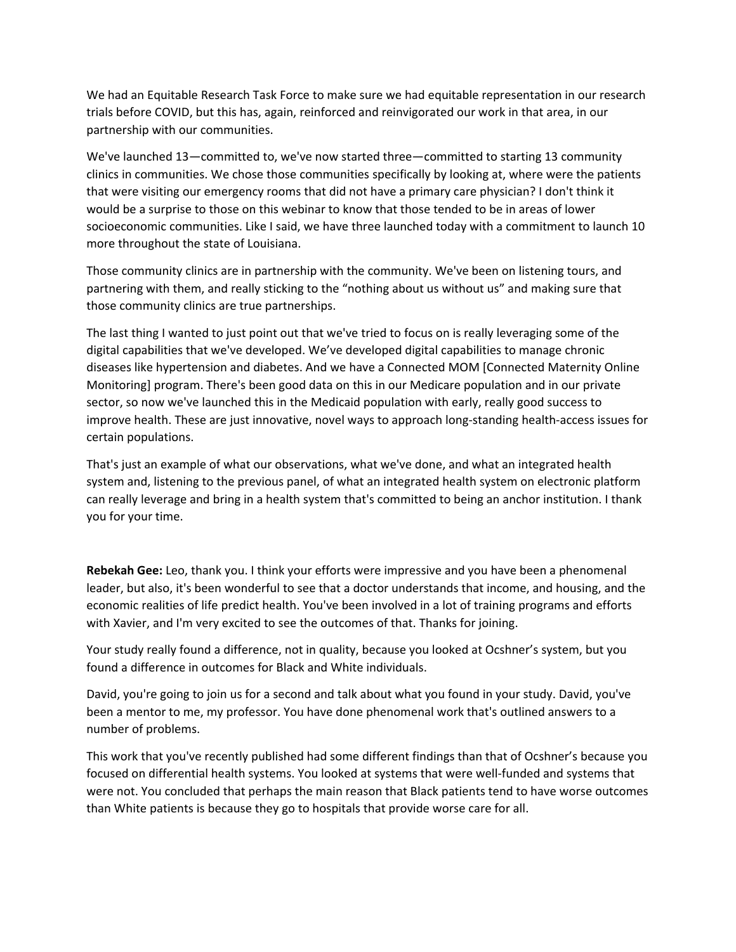We had an Equitable Research Task Force to make sure we had equitable representation in our research trials before COVID, but this has, again, reinforced and reinvigorated our work in that area, in our partnership with our communities.

We've launched 13—committed to, we've now started three—committed to starting 13 community clinics in communities. We chose those communities specifically by looking at, where were the patients that were visiting our emergency rooms that did not have a primary care physician? I don't think it would be a surprise to those on this webinar to know that those tended to be in areas of lower socioeconomic communities. Like I said, we have three launched today with a commitment to launch 10 more throughout the state of Louisiana.

Those community clinics are in partnership with the community. We've been on listening tours, and partnering with them, and really sticking to the "nothing about us without us" and making sure that those community clinics are true partnerships.

The last thing I wanted to just point out that we've tried to focus on is really leveraging some of the digital capabilities that we've developed. We've developed digital capabilities to manage chronic diseases like hypertension and diabetes. And we have a Connected MOM [Connected Maternity Online Monitoring] program. There's been good data on this in our Medicare population and in our private sector, so now we've launched this in the Medicaid population with early, really good success to improve health. These are just innovative, novel ways to approach long‐standing health‐access issues for certain populations.

That's just an example of what our observations, what we've done, and what an integrated health system and, listening to the previous panel, of what an integrated health system on electronic platform can really leverage and bring in a health system that's committed to being an anchor institution. I thank you for your time.

**Rebekah Gee:** Leo, thank you. I think your efforts were impressive and you have been a phenomenal leader, but also, it's been wonderful to see that a doctor understands that income, and housing, and the economic realities of life predict health. You've been involved in a lot of training programs and efforts with Xavier, and I'm very excited to see the outcomes of that. Thanks for joining.

Your study really found a difference, not in quality, because you looked at Ocshner's system, but you found a difference in outcomes for Black and White individuals.

David, you're going to join us for a second and talk about what you found in your study. David, you've been a mentor to me, my professor. You have done phenomenal work that's outlined answers to a number of problems.

This work that you've recently published had some different findings than that of Ocshner's because you focused on differential health systems. You looked at systems that were well-funded and systems that were not. You concluded that perhaps the main reason that Black patients tend to have worse outcomes than White patients is because they go to hospitals that provide worse care for all.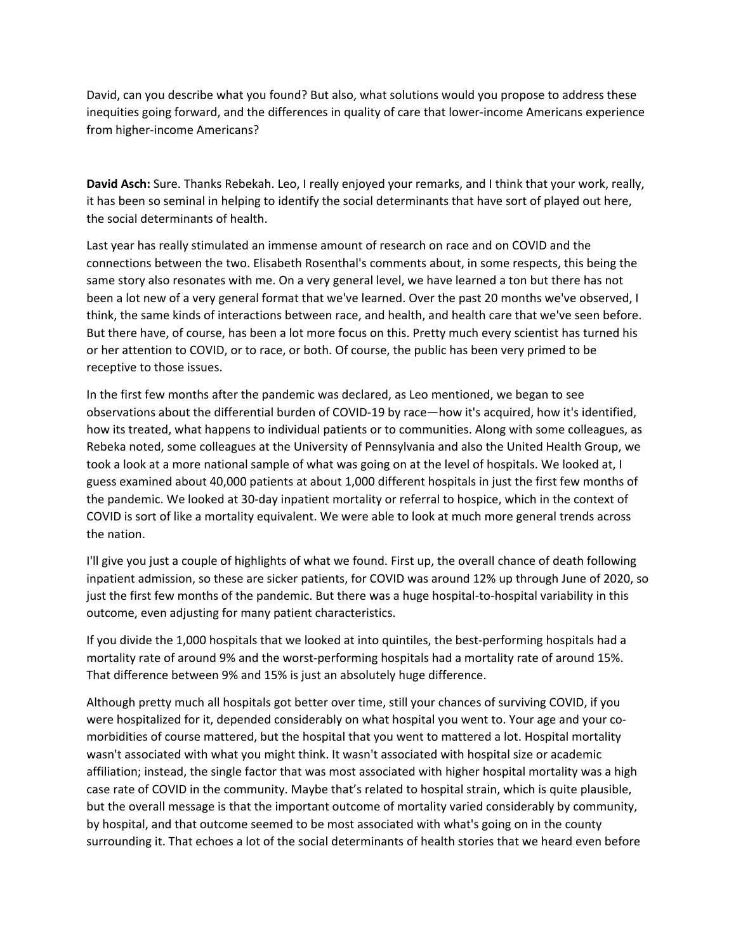David, can you describe what you found? But also, what solutions would you propose to address these inequities going forward, and the differences in quality of care that lower-income Americans experience from higher‐income Americans?

**David Asch:** Sure. Thanks Rebekah. Leo, I really enjoyed your remarks, and I think that your work, really, it has been so seminal in helping to identify the social determinants that have sort of played out here, the social determinants of health.

Last year has really stimulated an immense amount of research on race and on COVID and the connections between the two. Elisabeth Rosenthal's comments about, in some respects, this being the same story also resonates with me. On a very general level, we have learned a ton but there has not been a lot new of a very general format that we've learned. Over the past 20 months we've observed, I think, the same kinds of interactions between race, and health, and health care that we've seen before. But there have, of course, has been a lot more focus on this. Pretty much every scientist has turned his or her attention to COVID, or to race, or both. Of course, the public has been very primed to be receptive to those issues.

In the first few months after the pandemic was declared, as Leo mentioned, we began to see observations about the differential burden of COVID‐19 by race—how it's acquired, how it's identified, how its treated, what happens to individual patients or to communities. Along with some colleagues, as Rebeka noted, some colleagues at the University of Pennsylvania and also the United Health Group, we took a look at a more national sample of what was going on at the level of hospitals. We looked at, I guess examined about 40,000 patients at about 1,000 different hospitals in just the first few months of the pandemic. We looked at 30‐day inpatient mortality or referral to hospice, which in the context of COVID is sort of like a mortality equivalent. We were able to look at much more general trends across the nation.

I'll give you just a couple of highlights of what we found. First up, the overall chance of death following inpatient admission, so these are sicker patients, for COVID was around 12% up through June of 2020, so just the first few months of the pandemic. But there was a huge hospital-to-hospital variability in this outcome, even adjusting for many patient characteristics.

If you divide the 1,000 hospitals that we looked at into quintiles, the best-performing hospitals had a mortality rate of around 9% and the worst-performing hospitals had a mortality rate of around 15%. That difference between 9% and 15% is just an absolutely huge difference.

Although pretty much all hospitals got better over time, still your chances of surviving COVID, if you were hospitalized for it, depended considerably on what hospital you went to. Your age and your comorbidities of course mattered, but the hospital that you went to mattered a lot. Hospital mortality wasn't associated with what you might think. It wasn't associated with hospital size or academic affiliation; instead, the single factor that was most associated with higher hospital mortality was a high case rate of COVID in the community. Maybe that's related to hospital strain, which is quite plausible, but the overall message is that the important outcome of mortality varied considerably by community, by hospital, and that outcome seemed to be most associated with what's going on in the county surrounding it. That echoes a lot of the social determinants of health stories that we heard even before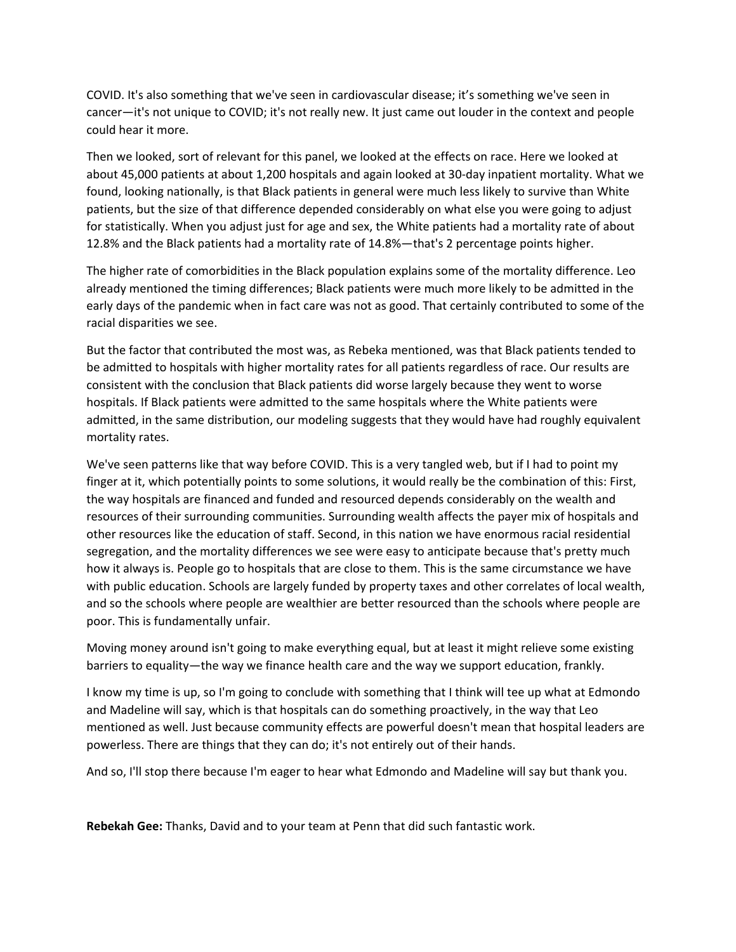COVID. It's also something that we've seen in cardiovascular disease; it's something we've seen in cancer—it's not unique to COVID; it's not really new. It just came out louder in the context and people could hear it more.

Then we looked, sort of relevant for this panel, we looked at the effects on race. Here we looked at about 45,000 patients at about 1,200 hospitals and again looked at 30‐day inpatient mortality. What we found, looking nationally, is that Black patients in general were much less likely to survive than White patients, but the size of that difference depended considerably on what else you were going to adjust for statistically. When you adjust just for age and sex, the White patients had a mortality rate of about 12.8% and the Black patients had a mortality rate of 14.8%—that's 2 percentage points higher.

The higher rate of comorbidities in the Black population explains some of the mortality difference. Leo already mentioned the timing differences; Black patients were much more likely to be admitted in the early days of the pandemic when in fact care was not as good. That certainly contributed to some of the racial disparities we see.

But the factor that contributed the most was, as Rebeka mentioned, was that Black patients tended to be admitted to hospitals with higher mortality rates for all patients regardless of race. Our results are consistent with the conclusion that Black patients did worse largely because they went to worse hospitals. If Black patients were admitted to the same hospitals where the White patients were admitted, in the same distribution, our modeling suggests that they would have had roughly equivalent mortality rates.

We've seen patterns like that way before COVID. This is a very tangled web, but if I had to point my finger at it, which potentially points to some solutions, it would really be the combination of this: First, the way hospitals are financed and funded and resourced depends considerably on the wealth and resources of their surrounding communities. Surrounding wealth affects the payer mix of hospitals and other resources like the education of staff. Second, in this nation we have enormous racial residential segregation, and the mortality differences we see were easy to anticipate because that's pretty much how it always is. People go to hospitals that are close to them. This is the same circumstance we have with public education. Schools are largely funded by property taxes and other correlates of local wealth, and so the schools where people are wealthier are better resourced than the schools where people are poor. This is fundamentally unfair.

Moving money around isn't going to make everything equal, but at least it might relieve some existing barriers to equality—the way we finance health care and the way we support education, frankly.

I know my time is up, so I'm going to conclude with something that I think will tee up what at Edmondo and Madeline will say, which is that hospitals can do something proactively, in the way that Leo mentioned as well. Just because community effects are powerful doesn't mean that hospital leaders are powerless. There are things that they can do; it's not entirely out of their hands.

And so, I'll stop there because I'm eager to hear what Edmondo and Madeline will say but thank you.

**Rebekah Gee:** Thanks, David and to your team at Penn that did such fantastic work.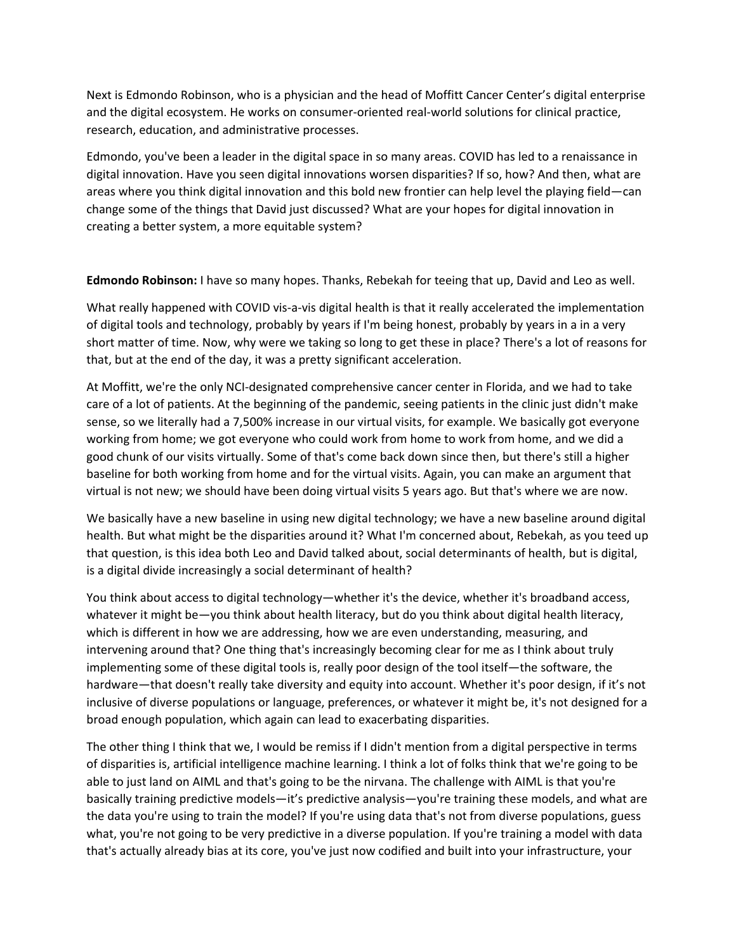Next is Edmondo Robinson, who is a physician and the head of Moffitt Cancer Center's digital enterprise and the digital ecosystem. He works on consumer-oriented real-world solutions for clinical practice, research, education, and administrative processes.

Edmondo, you've been a leader in the digital space in so many areas. COVID has led to a renaissance in digital innovation. Have you seen digital innovations worsen disparities? If so, how? And then, what are areas where you think digital innovation and this bold new frontier can help level the playing field—can change some of the things that David just discussed? What are your hopes for digital innovation in creating a better system, a more equitable system?

**Edmondo Robinson:** I have so many hopes. Thanks, Rebekah for teeing that up, David and Leo as well.

What really happened with COVID vis-a-vis digital health is that it really accelerated the implementation of digital tools and technology, probably by years if I'm being honest, probably by years in a in a very short matter of time. Now, why were we taking so long to get these in place? There's a lot of reasons for that, but at the end of the day, it was a pretty significant acceleration.

At Moffitt, we're the only NCI‐designated comprehensive cancer center in Florida, and we had to take care of a lot of patients. At the beginning of the pandemic, seeing patients in the clinic just didn't make sense, so we literally had a 7,500% increase in our virtual visits, for example. We basically got everyone working from home; we got everyone who could work from home to work from home, and we did a good chunk of our visits virtually. Some of that's come back down since then, but there's still a higher baseline for both working from home and for the virtual visits. Again, you can make an argument that virtual is not new; we should have been doing virtual visits 5 years ago. But that's where we are now.

We basically have a new baseline in using new digital technology; we have a new baseline around digital health. But what might be the disparities around it? What I'm concerned about, Rebekah, as you teed up that question, is this idea both Leo and David talked about, social determinants of health, but is digital, is a digital divide increasingly a social determinant of health?

You think about access to digital technology—whether it's the device, whether it's broadband access, whatever it might be—you think about health literacy, but do you think about digital health literacy, which is different in how we are addressing, how we are even understanding, measuring, and intervening around that? One thing that's increasingly becoming clear for me as I think about truly implementing some of these digital tools is, really poor design of the tool itself—the software, the hardware—that doesn't really take diversity and equity into account. Whether it's poor design, if it's not inclusive of diverse populations or language, preferences, or whatever it might be, it's not designed for a broad enough population, which again can lead to exacerbating disparities.

The other thing I think that we, I would be remiss if I didn't mention from a digital perspective in terms of disparities is, artificial intelligence machine learning. I think a lot of folks think that we're going to be able to just land on AIML and that's going to be the nirvana. The challenge with AIML is that you're basically training predictive models—it's predictive analysis—you're training these models, and what are the data you're using to train the model? If you're using data that's not from diverse populations, guess what, you're not going to be very predictive in a diverse population. If you're training a model with data that's actually already bias at its core, you've just now codified and built into your infrastructure, your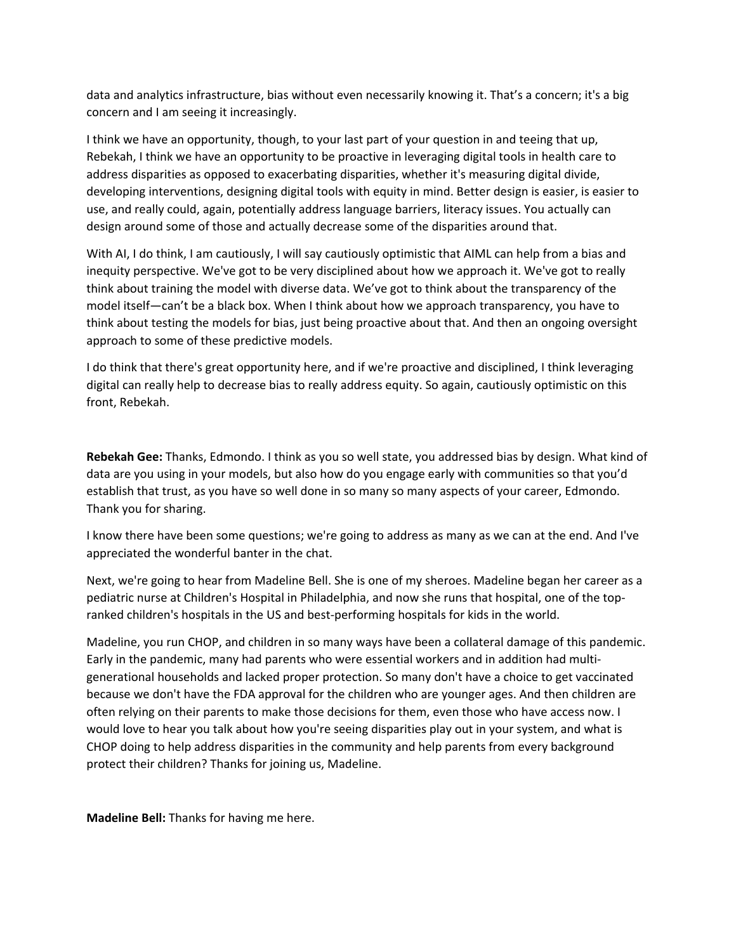data and analytics infrastructure, bias without even necessarily knowing it. That's a concern; it's a big concern and I am seeing it increasingly.

I think we have an opportunity, though, to your last part of your question in and teeing that up, Rebekah, I think we have an opportunity to be proactive in leveraging digital tools in health care to address disparities as opposed to exacerbating disparities, whether it's measuring digital divide, developing interventions, designing digital tools with equity in mind. Better design is easier, is easier to use, and really could, again, potentially address language barriers, literacy issues. You actually can design around some of those and actually decrease some of the disparities around that.

With AI, I do think, I am cautiously, I will say cautiously optimistic that AIML can help from a bias and inequity perspective. We've got to be very disciplined about how we approach it. We've got to really think about training the model with diverse data. We've got to think about the transparency of the model itself—can't be a black box. When I think about how we approach transparency, you have to think about testing the models for bias, just being proactive about that. And then an ongoing oversight approach to some of these predictive models.

I do think that there's great opportunity here, and if we're proactive and disciplined, I think leveraging digital can really help to decrease bias to really address equity. So again, cautiously optimistic on this front, Rebekah.

**Rebekah Gee:** Thanks, Edmondo. I think as you so well state, you addressed bias by design. What kind of data are you using in your models, but also how do you engage early with communities so that you'd establish that trust, as you have so well done in so many so many aspects of your career, Edmondo. Thank you for sharing.

I know there have been some questions; we're going to address as many as we can at the end. And I've appreciated the wonderful banter in the chat.

Next, we're going to hear from Madeline Bell. She is one of my sheroes. Madeline began her career as a pediatric nurse at Children's Hospital in Philadelphia, and now she runs that hospital, one of the top‐ ranked children's hospitals in the US and best-performing hospitals for kids in the world.

Madeline, you run CHOP, and children in so many ways have been a collateral damage of this pandemic. Early in the pandemic, many had parents who were essential workers and in addition had multi‐ generational households and lacked proper protection. So many don't have a choice to get vaccinated because we don't have the FDA approval for the children who are younger ages. And then children are often relying on their parents to make those decisions for them, even those who have access now. I would love to hear you talk about how you're seeing disparities play out in your system, and what is CHOP doing to help address disparities in the community and help parents from every background protect their children? Thanks for joining us, Madeline.

**Madeline Bell:** Thanks for having me here.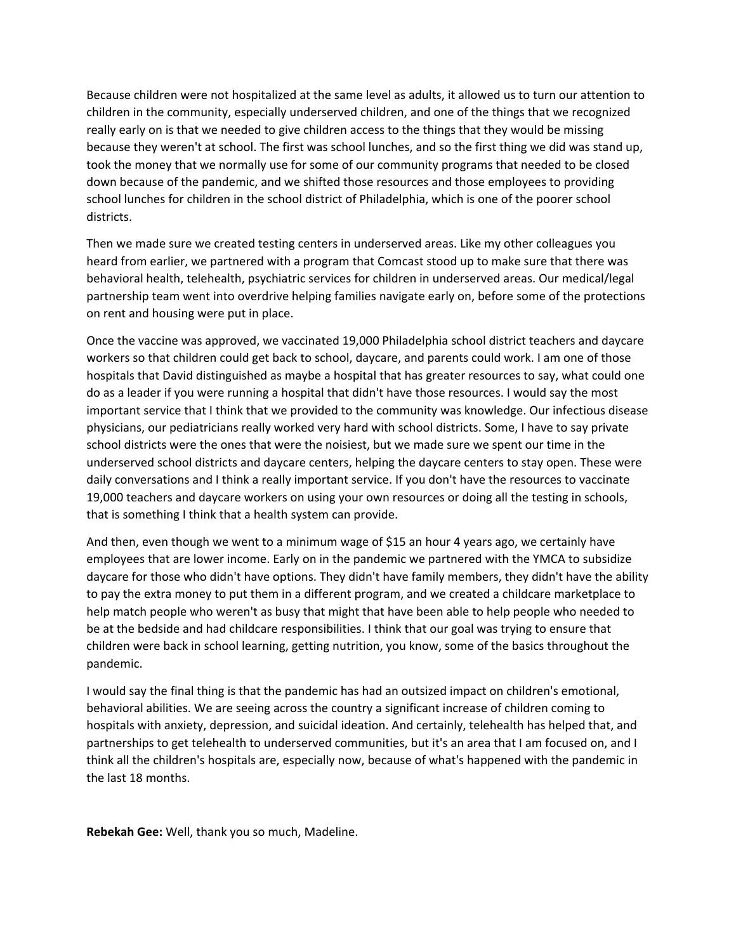Because children were not hospitalized at the same level as adults, it allowed us to turn our attention to children in the community, especially underserved children, and one of the things that we recognized really early on is that we needed to give children access to the things that they would be missing because they weren't at school. The first was school lunches, and so the first thing we did was stand up, took the money that we normally use for some of our community programs that needed to be closed down because of the pandemic, and we shifted those resources and those employees to providing school lunches for children in the school district of Philadelphia, which is one of the poorer school districts.

Then we made sure we created testing centers in underserved areas. Like my other colleagues you heard from earlier, we partnered with a program that Comcast stood up to make sure that there was behavioral health, telehealth, psychiatric services for children in underserved areas. Our medical/legal partnership team went into overdrive helping families navigate early on, before some of the protections on rent and housing were put in place.

Once the vaccine was approved, we vaccinated 19,000 Philadelphia school district teachers and daycare workers so that children could get back to school, daycare, and parents could work. I am one of those hospitals that David distinguished as maybe a hospital that has greater resources to say, what could one do as a leader if you were running a hospital that didn't have those resources. I would say the most important service that I think that we provided to the community was knowledge. Our infectious disease physicians, our pediatricians really worked very hard with school districts. Some, I have to say private school districts were the ones that were the noisiest, but we made sure we spent our time in the underserved school districts and daycare centers, helping the daycare centers to stay open. These were daily conversations and I think a really important service. If you don't have the resources to vaccinate 19,000 teachers and daycare workers on using your own resources or doing all the testing in schools, that is something I think that a health system can provide.

And then, even though we went to a minimum wage of \$15 an hour 4 years ago, we certainly have employees that are lower income. Early on in the pandemic we partnered with the YMCA to subsidize daycare for those who didn't have options. They didn't have family members, they didn't have the ability to pay the extra money to put them in a different program, and we created a childcare marketplace to help match people who weren't as busy that might that have been able to help people who needed to be at the bedside and had childcare responsibilities. I think that our goal was trying to ensure that children were back in school learning, getting nutrition, you know, some of the basics throughout the pandemic.

I would say the final thing is that the pandemic has had an outsized impact on children's emotional, behavioral abilities. We are seeing across the country a significant increase of children coming to hospitals with anxiety, depression, and suicidal ideation. And certainly, telehealth has helped that, and partnerships to get telehealth to underserved communities, but it's an area that I am focused on, and I think all the children's hospitals are, especially now, because of what's happened with the pandemic in the last 18 months.

**Rebekah Gee:** Well, thank you so much, Madeline.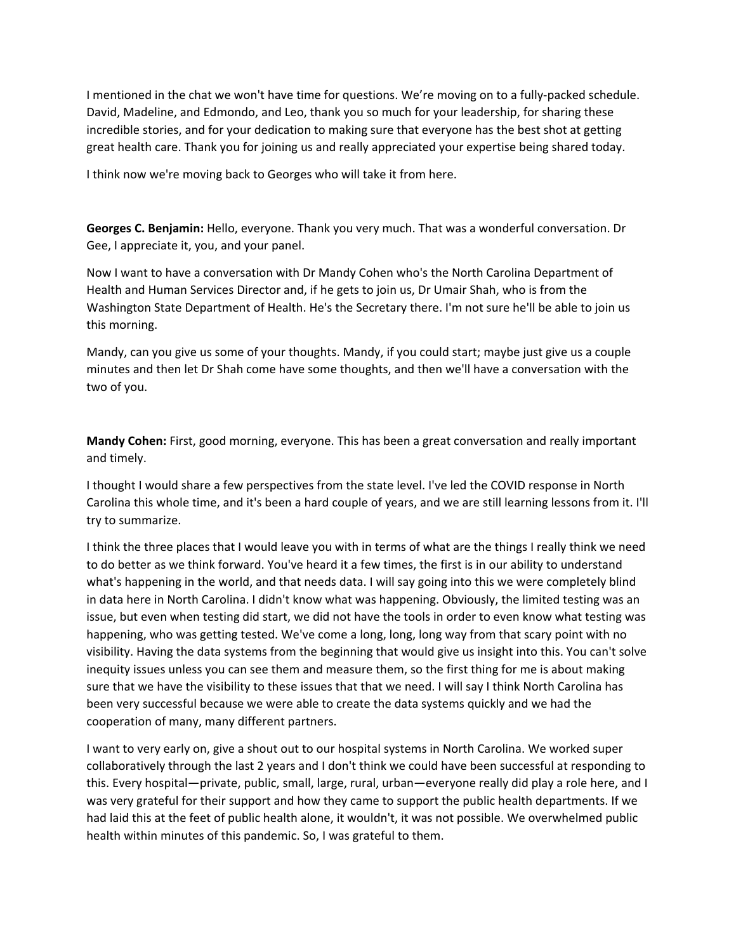I mentioned in the chat we won't have time for questions. We're moving on to a fully‐packed schedule. David, Madeline, and Edmondo, and Leo, thank you so much for your leadership, for sharing these incredible stories, and for your dedication to making sure that everyone has the best shot at getting great health care. Thank you for joining us and really appreciated your expertise being shared today.

I think now we're moving back to Georges who will take it from here.

**Georges C. Benjamin:** Hello, everyone. Thank you very much. That was a wonderful conversation. Dr Gee, I appreciate it, you, and your panel.

Now I want to have a conversation with Dr Mandy Cohen who's the North Carolina Department of Health and Human Services Director and, if he gets to join us, Dr Umair Shah, who is from the Washington State Department of Health. He's the Secretary there. I'm not sure he'll be able to join us this morning.

Mandy, can you give us some of your thoughts. Mandy, if you could start; maybe just give us a couple minutes and then let Dr Shah come have some thoughts, and then we'll have a conversation with the two of you.

**Mandy Cohen:** First, good morning, everyone. This has been a great conversation and really important and timely.

I thought I would share a few perspectives from the state level. I've led the COVID response in North Carolina this whole time, and it's been a hard couple of years, and we are still learning lessons from it. I'll try to summarize.

I think the three places that I would leave you with in terms of what are the things I really think we need to do better as we think forward. You've heard it a few times, the first is in our ability to understand what's happening in the world, and that needs data. I will say going into this we were completely blind in data here in North Carolina. I didn't know what was happening. Obviously, the limited testing was an issue, but even when testing did start, we did not have the tools in order to even know what testing was happening, who was getting tested. We've come a long, long, long way from that scary point with no visibility. Having the data systems from the beginning that would give us insight into this. You can't solve inequity issues unless you can see them and measure them, so the first thing for me is about making sure that we have the visibility to these issues that that we need. I will say I think North Carolina has been very successful because we were able to create the data systems quickly and we had the cooperation of many, many different partners.

I want to very early on, give a shout out to our hospital systems in North Carolina. We worked super collaboratively through the last 2 years and I don't think we could have been successful at responding to this. Every hospital—private, public, small, large, rural, urban—everyone really did play a role here, and I was very grateful for their support and how they came to support the public health departments. If we had laid this at the feet of public health alone, it wouldn't, it was not possible. We overwhelmed public health within minutes of this pandemic. So, I was grateful to them.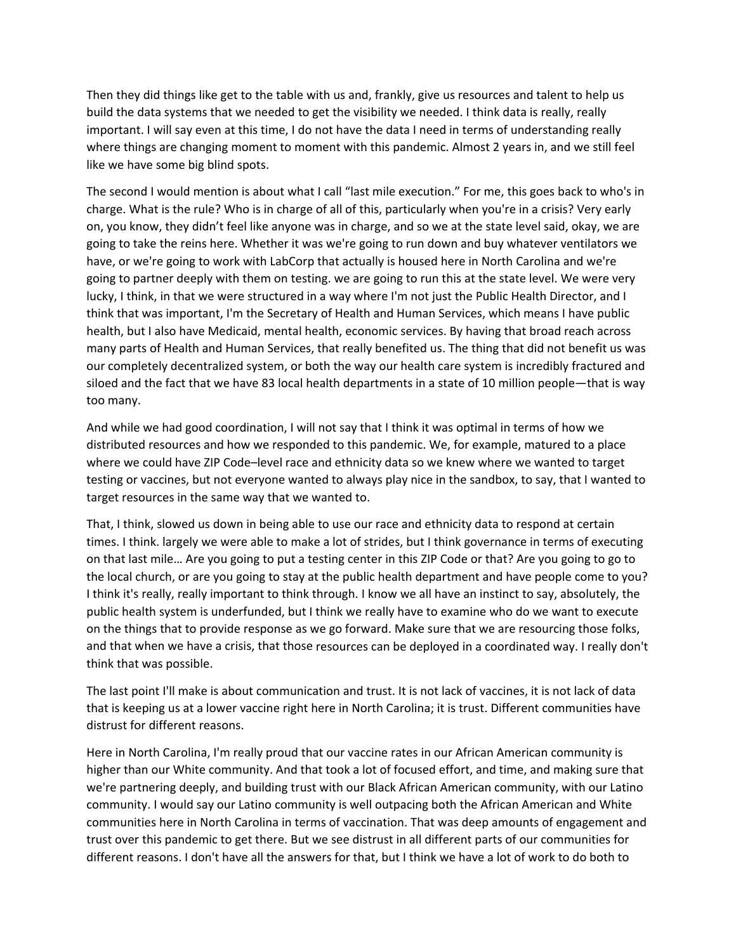Then they did things like get to the table with us and, frankly, give us resources and talent to help us build the data systems that we needed to get the visibility we needed. I think data is really, really important. I will say even at this time, I do not have the data I need in terms of understanding really where things are changing moment to moment with this pandemic. Almost 2 years in, and we still feel like we have some big blind spots.

The second I would mention is about what I call "last mile execution." For me, this goes back to who's in charge. What is the rule? Who is in charge of all of this, particularly when you're in a crisis? Very early on, you know, they didn't feel like anyone was in charge, and so we at the state level said, okay, we are going to take the reins here. Whether it was we're going to run down and buy whatever ventilators we have, or we're going to work with LabCorp that actually is housed here in North Carolina and we're going to partner deeply with them on testing. we are going to run this at the state level. We were very lucky, I think, in that we were structured in a way where I'm not just the Public Health Director, and I think that was important, I'm the Secretary of Health and Human Services, which means I have public health, but I also have Medicaid, mental health, economic services. By having that broad reach across many parts of Health and Human Services, that really benefited us. The thing that did not benefit us was our completely decentralized system, or both the way our health care system is incredibly fractured and siloed and the fact that we have 83 local health departments in a state of 10 million people—that is way too many.

And while we had good coordination, I will not say that I think it was optimal in terms of how we distributed resources and how we responded to this pandemic. We, for example, matured to a place where we could have ZIP Code–level race and ethnicity data so we knew where we wanted to target testing or vaccines, but not everyone wanted to always play nice in the sandbox, to say, that I wanted to target resources in the same way that we wanted to.

That, I think, slowed us down in being able to use our race and ethnicity data to respond at certain times. I think. largely we were able to make a lot of strides, but I think governance in terms of executing on that last mile… Are you going to put a testing center in this ZIP Code or that? Are you going to go to the local church, or are you going to stay at the public health department and have people come to you? I think it's really, really important to think through. I know we all have an instinct to say, absolutely, the public health system is underfunded, but I think we really have to examine who do we want to execute on the things that to provide response as we go forward. Make sure that we are resourcing those folks, and that when we have a crisis, that those resources can be deployed in a coordinated way. I really don't think that was possible.

The last point I'll make is about communication and trust. It is not lack of vaccines, it is not lack of data that is keeping us at a lower vaccine right here in North Carolina; it is trust. Different communities have distrust for different reasons.

Here in North Carolina, I'm really proud that our vaccine rates in our African American community is higher than our White community. And that took a lot of focused effort, and time, and making sure that we're partnering deeply, and building trust with our Black African American community, with our Latino community. I would say our Latino community is well outpacing both the African American and White communities here in North Carolina in terms of vaccination. That was deep amounts of engagement and trust over this pandemic to get there. But we see distrust in all different parts of our communities for different reasons. I don't have all the answers for that, but I think we have a lot of work to do both to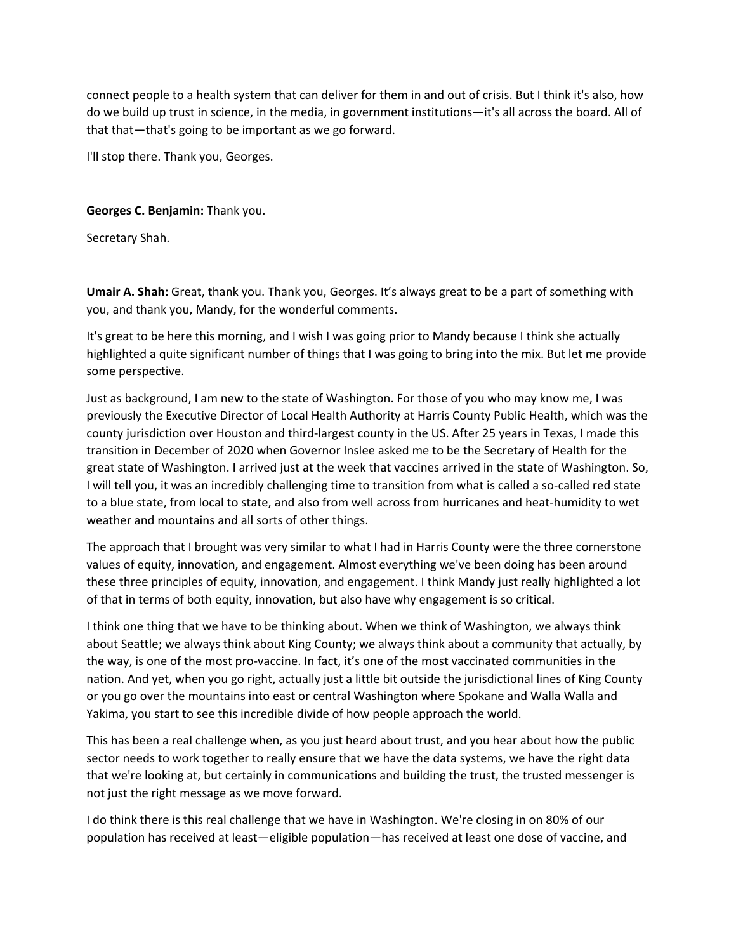connect people to a health system that can deliver for them in and out of crisis. But I think it's also, how do we build up trust in science, in the media, in government institutions—it's all across the board. All of that that—that's going to be important as we go forward.

I'll stop there. Thank you, Georges.

### **Georges C. Benjamin:** Thank you.

Secretary Shah.

**Umair A. Shah:** Great, thank you. Thank you, Georges. It's always great to be a part of something with you, and thank you, Mandy, for the wonderful comments.

It's great to be here this morning, and I wish I was going prior to Mandy because I think she actually highlighted a quite significant number of things that I was going to bring into the mix. But let me provide some perspective.

Just as background, I am new to the state of Washington. For those of you who may know me, I was previously the Executive Director of Local Health Authority at Harris County Public Health, which was the county jurisdiction over Houston and third‐largest county in the US. After 25 years in Texas, I made this transition in December of 2020 when Governor Inslee asked me to be the Secretary of Health for the great state of Washington. I arrived just at the week that vaccines arrived in the state of Washington. So, I will tell you, it was an incredibly challenging time to transition from what is called a so‐called red state to a blue state, from local to state, and also from well across from hurricanes and heat‐humidity to wet weather and mountains and all sorts of other things.

The approach that I brought was very similar to what I had in Harris County were the three cornerstone values of equity, innovation, and engagement. Almost everything we've been doing has been around these three principles of equity, innovation, and engagement. I think Mandy just really highlighted a lot of that in terms of both equity, innovation, but also have why engagement is so critical.

I think one thing that we have to be thinking about. When we think of Washington, we always think about Seattle; we always think about King County; we always think about a community that actually, by the way, is one of the most pro‐vaccine. In fact, it's one of the most vaccinated communities in the nation. And yet, when you go right, actually just a little bit outside the jurisdictional lines of King County or you go over the mountains into east or central Washington where Spokane and Walla Walla and Yakima, you start to see this incredible divide of how people approach the world.

This has been a real challenge when, as you just heard about trust, and you hear about how the public sector needs to work together to really ensure that we have the data systems, we have the right data that we're looking at, but certainly in communications and building the trust, the trusted messenger is not just the right message as we move forward.

I do think there is this real challenge that we have in Washington. We're closing in on 80% of our population has received at least—eligible population—has received at least one dose of vaccine, and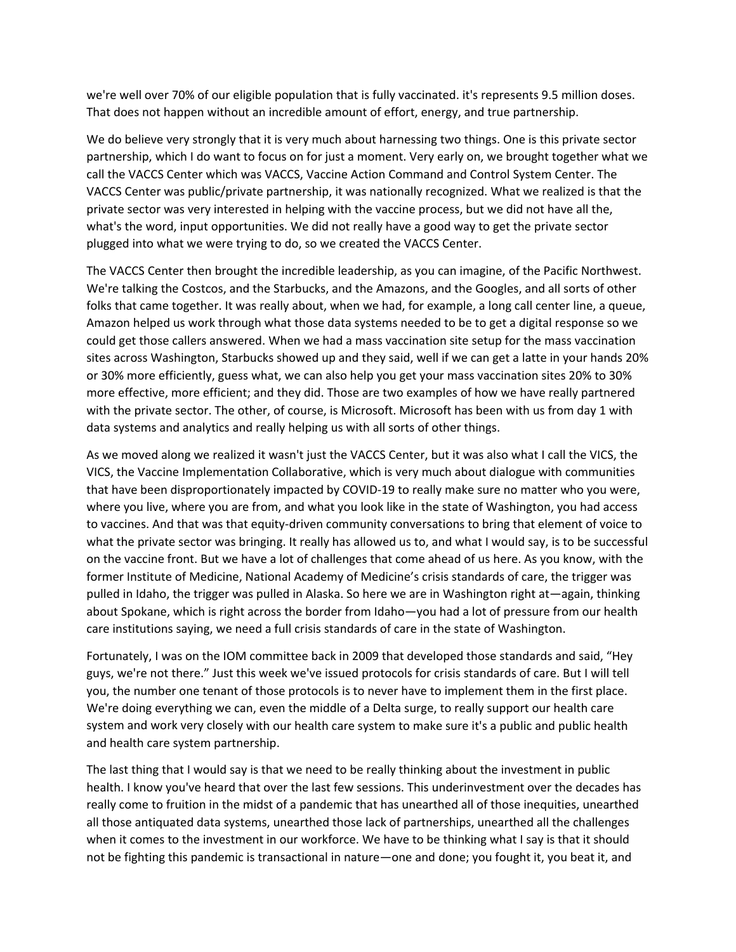we're well over 70% of our eligible population that is fully vaccinated. it's represents 9.5 million doses. That does not happen without an incredible amount of effort, energy, and true partnership.

We do believe very strongly that it is very much about harnessing two things. One is this private sector partnership, which I do want to focus on for just a moment. Very early on, we brought together what we call the VACCS Center which was VACCS, Vaccine Action Command and Control System Center. The VACCS Center was public/private partnership, it was nationally recognized. What we realized is that the private sector was very interested in helping with the vaccine process, but we did not have all the, what's the word, input opportunities. We did not really have a good way to get the private sector plugged into what we were trying to do, so we created the VACCS Center.

The VACCS Center then brought the incredible leadership, as you can imagine, of the Pacific Northwest. We're talking the Costcos, and the Starbucks, and the Amazons, and the Googles, and all sorts of other folks that came together. It was really about, when we had, for example, a long call center line, a queue, Amazon helped us work through what those data systems needed to be to get a digital response so we could get those callers answered. When we had a mass vaccination site setup for the mass vaccination sites across Washington, Starbucks showed up and they said, well if we can get a latte in your hands 20% or 30% more efficiently, guess what, we can also help you get your mass vaccination sites 20% to 30% more effective, more efficient; and they did. Those are two examples of how we have really partnered with the private sector. The other, of course, is Microsoft. Microsoft has been with us from day 1 with data systems and analytics and really helping us with all sorts of other things.

As we moved along we realized it wasn't just the VACCS Center, but it was also what I call the VICS, the VICS, the Vaccine Implementation Collaborative, which is very much about dialogue with communities that have been disproportionately impacted by COVID‐19 to really make sure no matter who you were, where you live, where you are from, and what you look like in the state of Washington, you had access to vaccines. And that was that equity‐driven community conversations to bring that element of voice to what the private sector was bringing. It really has allowed us to, and what I would say, is to be successful on the vaccine front. But we have a lot of challenges that come ahead of us here. As you know, with the former Institute of Medicine, National Academy of Medicine's crisis standards of care, the trigger was pulled in Idaho, the trigger was pulled in Alaska. So here we are in Washington right at—again, thinking about Spokane, which is right across the border from Idaho—you had a lot of pressure from our health care institutions saying, we need a full crisis standards of care in the state of Washington.

Fortunately, I was on the IOM committee back in 2009 that developed those standards and said, "Hey guys, we're not there." Just this week we've issued protocols for crisis standards of care. But I will tell you, the number one tenant of those protocols is to never have to implement them in the first place. We're doing everything we can, even the middle of a Delta surge, to really support our health care system and work very closely with our health care system to make sure it's a public and public health and health care system partnership.

The last thing that I would say is that we need to be really thinking about the investment in public health. I know you've heard that over the last few sessions. This underinvestment over the decades has really come to fruition in the midst of a pandemic that has unearthed all of those inequities, unearthed all those antiquated data systems, unearthed those lack of partnerships, unearthed all the challenges when it comes to the investment in our workforce. We have to be thinking what I say is that it should not be fighting this pandemic is transactional in nature—one and done; you fought it, you beat it, and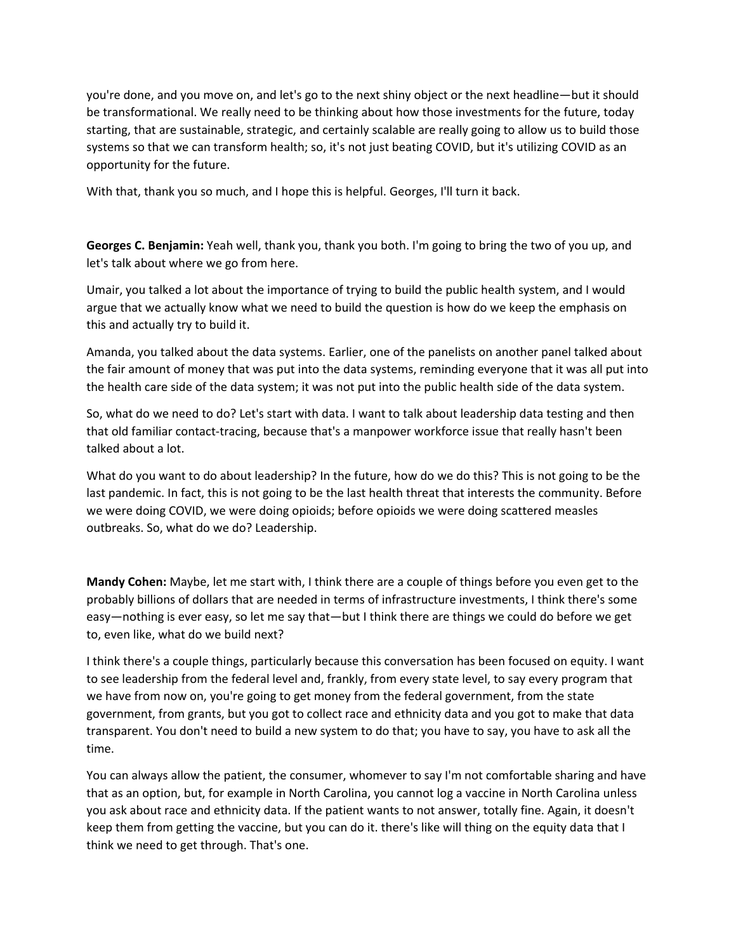you're done, and you move on, and let's go to the next shiny object or the next headline—but it should be transformational. We really need to be thinking about how those investments for the future, today starting, that are sustainable, strategic, and certainly scalable are really going to allow us to build those systems so that we can transform health; so, it's not just beating COVID, but it's utilizing COVID as an opportunity for the future.

With that, thank you so much, and I hope this is helpful. Georges, I'll turn it back.

**Georges C. Benjamin:** Yeah well, thank you, thank you both. I'm going to bring the two of you up, and let's talk about where we go from here.

Umair, you talked a lot about the importance of trying to build the public health system, and I would argue that we actually know what we need to build the question is how do we keep the emphasis on this and actually try to build it.

Amanda, you talked about the data systems. Earlier, one of the panelists on another panel talked about the fair amount of money that was put into the data systems, reminding everyone that it was all put into the health care side of the data system; it was not put into the public health side of the data system.

So, what do we need to do? Let's start with data. I want to talk about leadership data testing and then that old familiar contact‐tracing, because that's a manpower workforce issue that really hasn't been talked about a lot.

What do you want to do about leadership? In the future, how do we do this? This is not going to be the last pandemic. In fact, this is not going to be the last health threat that interests the community. Before we were doing COVID, we were doing opioids; before opioids we were doing scattered measles outbreaks. So, what do we do? Leadership.

**Mandy Cohen:** Maybe, let me start with, I think there are a couple of things before you even get to the probably billions of dollars that are needed in terms of infrastructure investments, I think there's some easy—nothing is ever easy, so let me say that—but I think there are things we could do before we get to, even like, what do we build next?

I think there's a couple things, particularly because this conversation has been focused on equity. I want to see leadership from the federal level and, frankly, from every state level, to say every program that we have from now on, you're going to get money from the federal government, from the state government, from grants, but you got to collect race and ethnicity data and you got to make that data transparent. You don't need to build a new system to do that; you have to say, you have to ask all the time.

You can always allow the patient, the consumer, whomever to say I'm not comfortable sharing and have that as an option, but, for example in North Carolina, you cannot log a vaccine in North Carolina unless you ask about race and ethnicity data. If the patient wants to not answer, totally fine. Again, it doesn't keep them from getting the vaccine, but you can do it. there's like will thing on the equity data that I think we need to get through. That's one.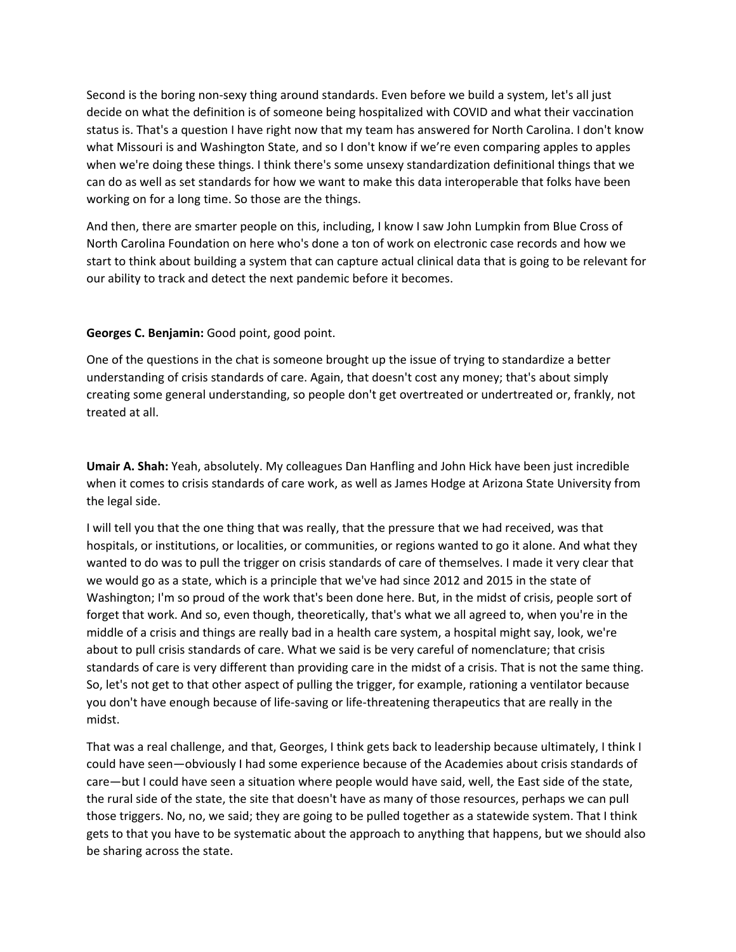Second is the boring non‐sexy thing around standards. Even before we build a system, let's all just decide on what the definition is of someone being hospitalized with COVID and what their vaccination status is. That's a question I have right now that my team has answered for North Carolina. I don't know what Missouri is and Washington State, and so I don't know if we're even comparing apples to apples when we're doing these things. I think there's some unsexy standardization definitional things that we can do as well as set standards for how we want to make this data interoperable that folks have been working on for a long time. So those are the things.

And then, there are smarter people on this, including, I know I saw John Lumpkin from Blue Cross of North Carolina Foundation on here who's done a ton of work on electronic case records and how we start to think about building a system that can capture actual clinical data that is going to be relevant for our ability to track and detect the next pandemic before it becomes.

## **Georges C. Benjamin:** Good point, good point.

One of the questions in the chat is someone brought up the issue of trying to standardize a better understanding of crisis standards of care. Again, that doesn't cost any money; that's about simply creating some general understanding, so people don't get overtreated or undertreated or, frankly, not treated at all.

**Umair A. Shah:** Yeah, absolutely. My colleagues Dan Hanfling and John Hick have been just incredible when it comes to crisis standards of care work, as well as James Hodge at Arizona State University from the legal side.

I will tell you that the one thing that was really, that the pressure that we had received, was that hospitals, or institutions, or localities, or communities, or regions wanted to go it alone. And what they wanted to do was to pull the trigger on crisis standards of care of themselves. I made it very clear that we would go as a state, which is a principle that we've had since 2012 and 2015 in the state of Washington; I'm so proud of the work that's been done here. But, in the midst of crisis, people sort of forget that work. And so, even though, theoretically, that's what we all agreed to, when you're in the middle of a crisis and things are really bad in a health care system, a hospital might say, look, we're about to pull crisis standards of care. What we said is be very careful of nomenclature; that crisis standards of care is very different than providing care in the midst of a crisis. That is not the same thing. So, let's not get to that other aspect of pulling the trigger, for example, rationing a ventilator because you don't have enough because of life‐saving or life‐threatening therapeutics that are really in the midst.

That was a real challenge, and that, Georges, I think gets back to leadership because ultimately, I think I could have seen—obviously I had some experience because of the Academies about crisis standards of care—but I could have seen a situation where people would have said, well, the East side of the state, the rural side of the state, the site that doesn't have as many of those resources, perhaps we can pull those triggers. No, no, we said; they are going to be pulled together as a statewide system. That I think gets to that you have to be systematic about the approach to anything that happens, but we should also be sharing across the state.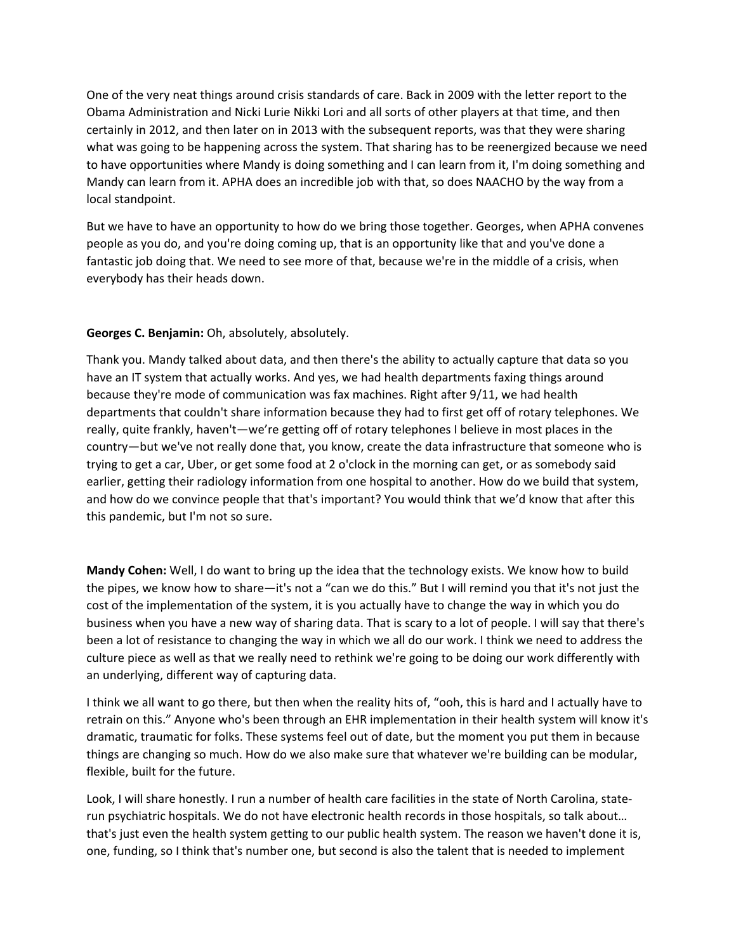One of the very neat things around crisis standards of care. Back in 2009 with the letter report to the Obama Administration and Nicki Lurie Nikki Lori and all sorts of other players at that time, and then certainly in 2012, and then later on in 2013 with the subsequent reports, was that they were sharing what was going to be happening across the system. That sharing has to be reenergized because we need to have opportunities where Mandy is doing something and I can learn from it, I'm doing something and Mandy can learn from it. APHA does an incredible job with that, so does NAACHO by the way from a local standpoint.

But we have to have an opportunity to how do we bring those together. Georges, when APHA convenes people as you do, and you're doing coming up, that is an opportunity like that and you've done a fantastic job doing that. We need to see more of that, because we're in the middle of a crisis, when everybody has their heads down.

# **Georges C. Benjamin:** Oh, absolutely, absolutely.

Thank you. Mandy talked about data, and then there's the ability to actually capture that data so you have an IT system that actually works. And yes, we had health departments faxing things around because they're mode of communication was fax machines. Right after 9/11, we had health departments that couldn't share information because they had to first get off of rotary telephones. We really, quite frankly, haven't—we're getting off of rotary telephones I believe in most places in the country—but we've not really done that, you know, create the data infrastructure that someone who is trying to get a car, Uber, or get some food at 2 o'clock in the morning can get, or as somebody said earlier, getting their radiology information from one hospital to another. How do we build that system, and how do we convince people that that's important? You would think that we'd know that after this this pandemic, but I'm not so sure.

**Mandy Cohen:** Well, I do want to bring up the idea that the technology exists. We know how to build the pipes, we know how to share—it's not a "can we do this." But I will remind you that it's not just the cost of the implementation of the system, it is you actually have to change the way in which you do business when you have a new way of sharing data. That is scary to a lot of people. I will say that there's been a lot of resistance to changing the way in which we all do our work. I think we need to address the culture piece as well as that we really need to rethink we're going to be doing our work differently with an underlying, different way of capturing data.

I think we all want to go there, but then when the reality hits of, "ooh, this is hard and I actually have to retrain on this." Anyone who's been through an EHR implementation in their health system will know it's dramatic, traumatic for folks. These systems feel out of date, but the moment you put them in because things are changing so much. How do we also make sure that whatever we're building can be modular, flexible, built for the future.

Look, I will share honestly. I run a number of health care facilities in the state of North Carolina, state‐ run psychiatric hospitals. We do not have electronic health records in those hospitals, so talk about… that's just even the health system getting to our public health system. The reason we haven't done it is, one, funding, so I think that's number one, but second is also the talent that is needed to implement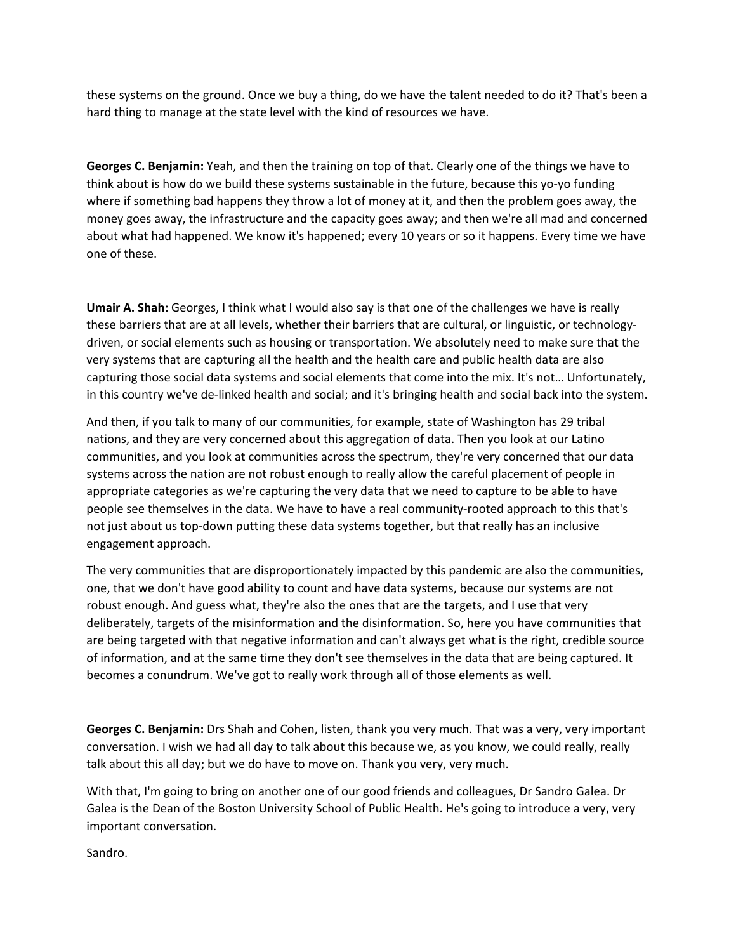these systems on the ground. Once we buy a thing, do we have the talent needed to do it? That's been a hard thing to manage at the state level with the kind of resources we have.

**Georges C. Benjamin:** Yeah, and then the training on top of that. Clearly one of the things we have to think about is how do we build these systems sustainable in the future, because this yo‐yo funding where if something bad happens they throw a lot of money at it, and then the problem goes away, the money goes away, the infrastructure and the capacity goes away; and then we're all mad and concerned about what had happened. We know it's happened; every 10 years or so it happens. Every time we have one of these.

**Umair A. Shah:** Georges, I think what I would also say is that one of the challenges we have is really these barriers that are at all levels, whether their barriers that are cultural, or linguistic, or technology‐ driven, or social elements such as housing or transportation. We absolutely need to make sure that the very systems that are capturing all the health and the health care and public health data are also capturing those social data systems and social elements that come into the mix. It's not… Unfortunately, in this country we've de‐linked health and social; and it's bringing health and social back into the system.

And then, if you talk to many of our communities, for example, state of Washington has 29 tribal nations, and they are very concerned about this aggregation of data. Then you look at our Latino communities, and you look at communities across the spectrum, they're very concerned that our data systems across the nation are not robust enough to really allow the careful placement of people in appropriate categories as we're capturing the very data that we need to capture to be able to have people see themselves in the data. We have to have a real community-rooted approach to this that's not just about us top-down putting these data systems together, but that really has an inclusive engagement approach.

The very communities that are disproportionately impacted by this pandemic are also the communities, one, that we don't have good ability to count and have data systems, because our systems are not robust enough. And guess what, they're also the ones that are the targets, and I use that very deliberately, targets of the misinformation and the disinformation. So, here you have communities that are being targeted with that negative information and can't always get what is the right, credible source of information, and at the same time they don't see themselves in the data that are being captured. It becomes a conundrum. We've got to really work through all of those elements as well.

**Georges C. Benjamin:** Drs Shah and Cohen, listen, thank you very much. That was a very, very important conversation. I wish we had all day to talk about this because we, as you know, we could really, really talk about this all day; but we do have to move on. Thank you very, very much.

With that, I'm going to bring on another one of our good friends and colleagues, Dr Sandro Galea. Dr Galea is the Dean of the Boston University School of Public Health. He's going to introduce a very, very important conversation.

Sandro.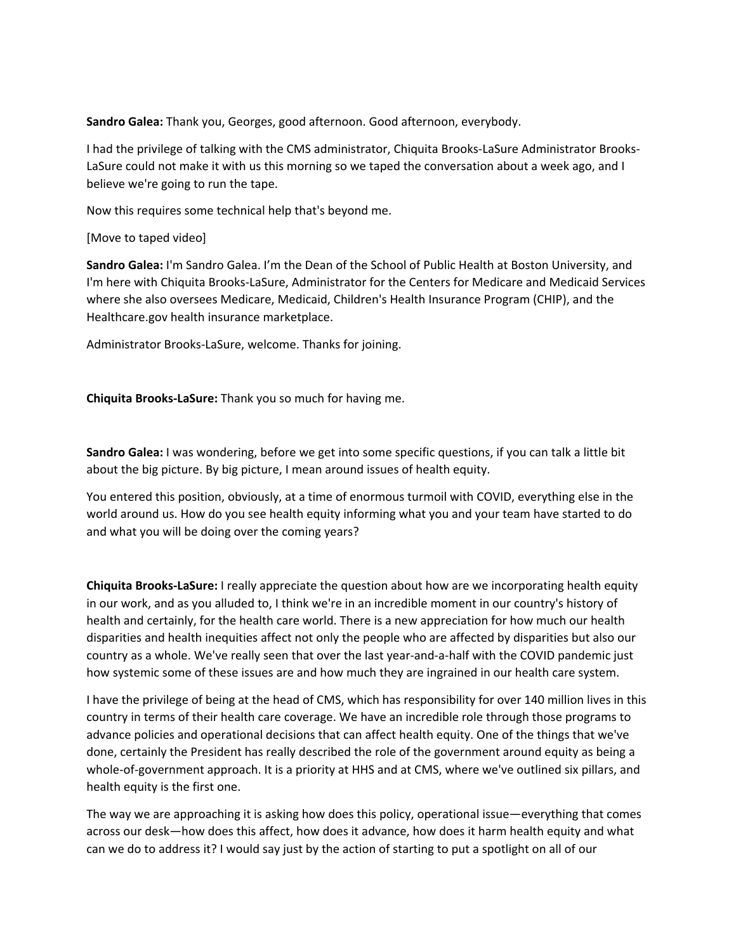**Sandro Galea:** Thank you, Georges, good afternoon. Good afternoon, everybody.

I had the privilege of talking with the CMS administrator, Chiquita Brooks‐LaSure Administrator Brooks‐ LaSure could not make it with us this morning so we taped the conversation about a week ago, and I believe we're going to run the tape.

Now this requires some technical help that's beyond me.

[Move to taped video]

**Sandro Galea:** I'm Sandro Galea. I'm the Dean of the School of Public Health at Boston University, and I'm here with Chiquita Brooks‐LaSure, Administrator for the Centers for Medicare and Medicaid Services where she also oversees Medicare, Medicaid, Children's Health Insurance Program (CHIP), and the Healthcare.gov health insurance marketplace.

Administrator Brooks‐LaSure, welcome. Thanks for joining.

**Chiquita Brooks‐LaSure:** Thank you so much for having me.

**Sandro Galea:** I was wondering, before we get into some specific questions, if you can talk a little bit about the big picture. By big picture, I mean around issues of health equity.

You entered this position, obviously, at a time of enormous turmoil with COVID, everything else in the world around us. How do you see health equity informing what you and your team have started to do and what you will be doing over the coming years?

**Chiquita Brooks‐LaSure:** I really appreciate the question about how are we incorporating health equity in our work, and as you alluded to, I think we're in an incredible moment in our country's history of health and certainly, for the health care world. There is a new appreciation for how much our health disparities and health inequities affect not only the people who are affected by disparities but also our country as a whole. We've really seen that over the last year-and-a-half with the COVID pandemic just how systemic some of these issues are and how much they are ingrained in our health care system.

I have the privilege of being at the head of CMS, which has responsibility for over 140 million lives in this country in terms of their health care coverage. We have an incredible role through those programs to advance policies and operational decisions that can affect health equity. One of the things that we've done, certainly the President has really described the role of the government around equity as being a whole-of-government approach. It is a priority at HHS and at CMS, where we've outlined six pillars, and health equity is the first one.

The way we are approaching it is asking how does this policy, operational issue—everything that comes across our desk—how does this affect, how does it advance, how does it harm health equity and what can we do to address it? I would say just by the action of starting to put a spotlight on all of our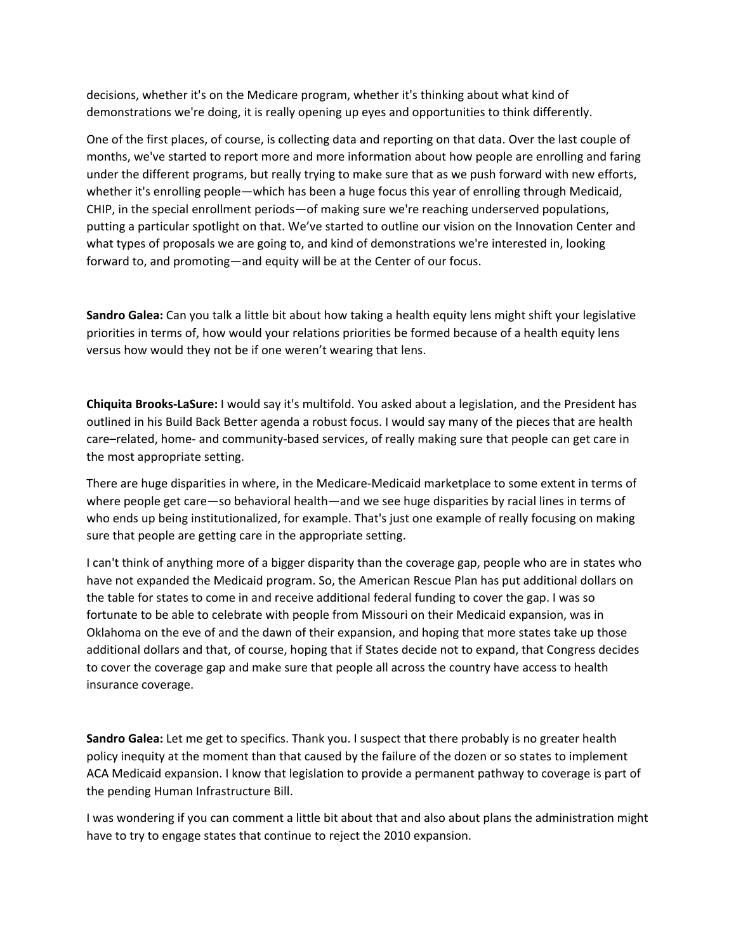decisions, whether it's on the Medicare program, whether it's thinking about what kind of demonstrations we're doing, it is really opening up eyes and opportunities to think differently.

One of the first places, of course, is collecting data and reporting on that data. Over the last couple of months, we've started to report more and more information about how people are enrolling and faring under the different programs, but really trying to make sure that as we push forward with new efforts, whether it's enrolling people—which has been a huge focus this year of enrolling through Medicaid, CHIP, in the special enrollment periods—of making sure we're reaching underserved populations, putting a particular spotlight on that. We've started to outline our vision on the Innovation Center and what types of proposals we are going to, and kind of demonstrations we're interested in, looking forward to, and promoting—and equity will be at the Center of our focus.

**Sandro Galea:** Can you talk a little bit about how taking a health equity lens might shift your legislative priorities in terms of, how would your relations priorities be formed because of a health equity lens versus how would they not be if one weren't wearing that lens.

**Chiquita Brooks‐LaSure:** I would say it's multifold. You asked about a legislation, and the President has outlined in his Build Back Better agenda a robust focus. I would say many of the pieces that are health care–related, home- and community-based services, of really making sure that people can get care in the most appropriate setting.

There are huge disparities in where, in the Medicare‐Medicaid marketplace to some extent in terms of where people get care—so behavioral health—and we see huge disparities by racial lines in terms of who ends up being institutionalized, for example. That's just one example of really focusing on making sure that people are getting care in the appropriate setting.

I can't think of anything more of a bigger disparity than the coverage gap, people who are in states who have not expanded the Medicaid program. So, the American Rescue Plan has put additional dollars on the table for states to come in and receive additional federal funding to cover the gap. I was so fortunate to be able to celebrate with people from Missouri on their Medicaid expansion, was in Oklahoma on the eve of and the dawn of their expansion, and hoping that more states take up those additional dollars and that, of course, hoping that if States decide not to expand, that Congress decides to cover the coverage gap and make sure that people all across the country have access to health insurance coverage.

**Sandro Galea:** Let me get to specifics. Thank you. I suspect that there probably is no greater health policy inequity at the moment than that caused by the failure of the dozen or so states to implement ACA Medicaid expansion. I know that legislation to provide a permanent pathway to coverage is part of the pending Human Infrastructure Bill.

I was wondering if you can comment a little bit about that and also about plans the administration might have to try to engage states that continue to reject the 2010 expansion.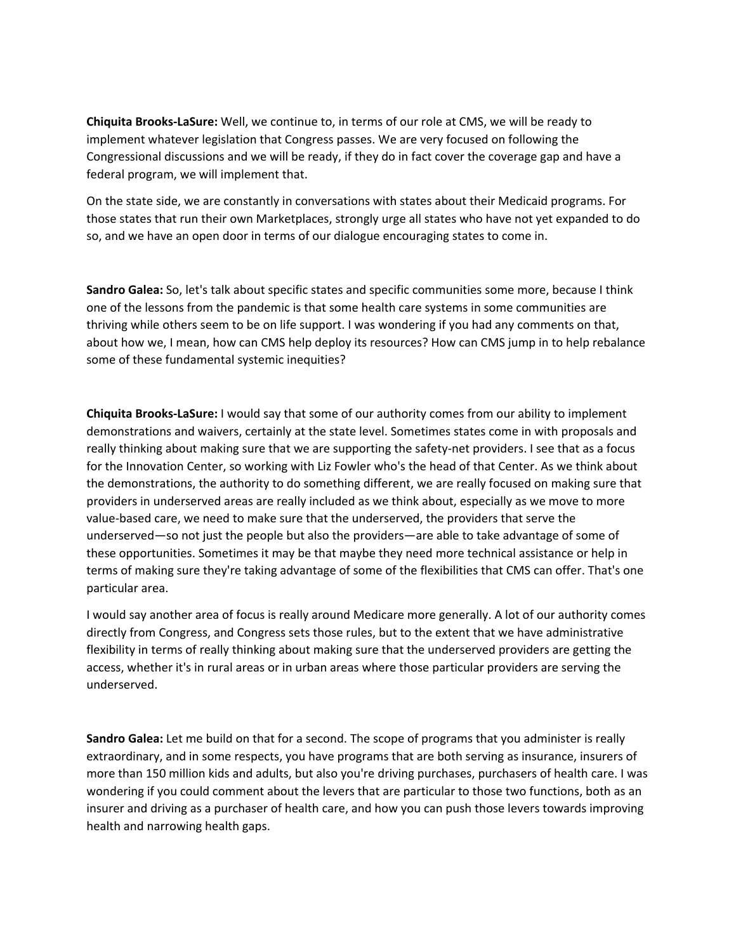**Chiquita Brooks‐LaSure:** Well, we continue to, in terms of our role at CMS, we will be ready to implement whatever legislation that Congress passes. We are very focused on following the Congressional discussions and we will be ready, if they do in fact cover the coverage gap and have a federal program, we will implement that.

On the state side, we are constantly in conversations with states about their Medicaid programs. For those states that run their own Marketplaces, strongly urge all states who have not yet expanded to do so, and we have an open door in terms of our dialogue encouraging states to come in.

**Sandro Galea:** So, let's talk about specific states and specific communities some more, because I think one of the lessons from the pandemic is that some health care systems in some communities are thriving while others seem to be on life support. I was wondering if you had any comments on that, about how we, I mean, how can CMS help deploy its resources? How can CMS jump in to help rebalance some of these fundamental systemic inequities?

**Chiquita Brooks‐LaSure:** I would say that some of our authority comes from our ability to implement demonstrations and waivers, certainly at the state level. Sometimes states come in with proposals and really thinking about making sure that we are supporting the safety-net providers. I see that as a focus for the Innovation Center, so working with Liz Fowler who's the head of that Center. As we think about the demonstrations, the authority to do something different, we are really focused on making sure that providers in underserved areas are really included as we think about, especially as we move to more value‐based care, we need to make sure that the underserved, the providers that serve the underserved—so not just the people but also the providers—are able to take advantage of some of these opportunities. Sometimes it may be that maybe they need more technical assistance or help in terms of making sure they're taking advantage of some of the flexibilities that CMS can offer. That's one particular area.

I would say another area of focus is really around Medicare more generally. A lot of our authority comes directly from Congress, and Congress sets those rules, but to the extent that we have administrative flexibility in terms of really thinking about making sure that the underserved providers are getting the access, whether it's in rural areas or in urban areas where those particular providers are serving the underserved.

**Sandro Galea:** Let me build on that for a second. The scope of programs that you administer is really extraordinary, and in some respects, you have programs that are both serving as insurance, insurers of more than 150 million kids and adults, but also you're driving purchases, purchasers of health care. I was wondering if you could comment about the levers that are particular to those two functions, both as an insurer and driving as a purchaser of health care, and how you can push those levers towards improving health and narrowing health gaps.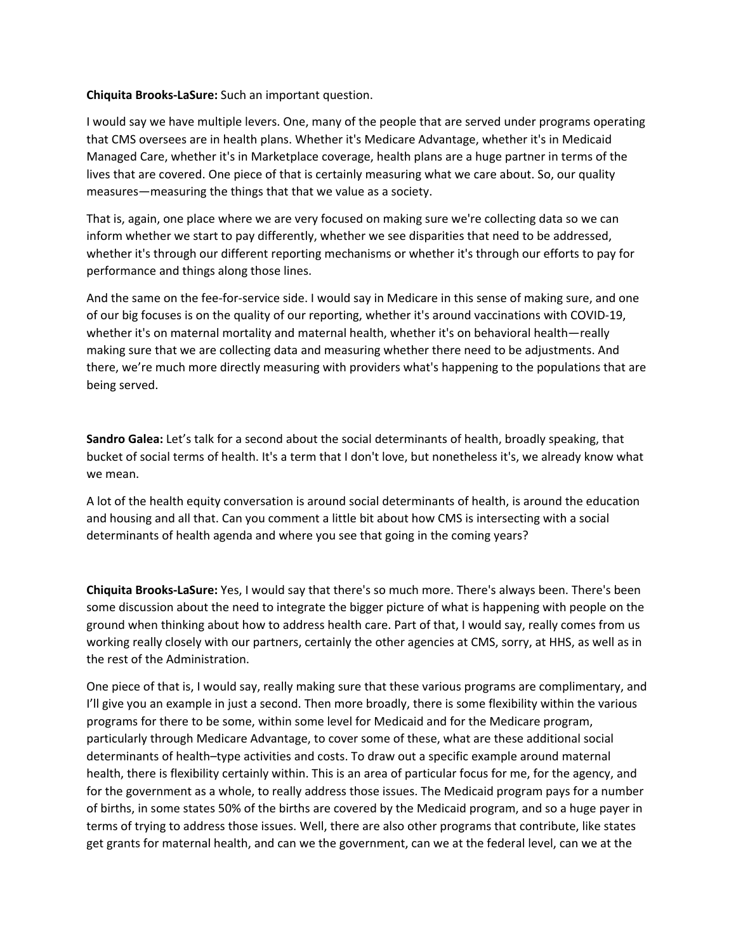### **Chiquita Brooks‐LaSure:** Such an important question.

I would say we have multiple levers. One, many of the people that are served under programs operating that CMS oversees are in health plans. Whether it's Medicare Advantage, whether it's in Medicaid Managed Care, whether it's in Marketplace coverage, health plans are a huge partner in terms of the lives that are covered. One piece of that is certainly measuring what we care about. So, our quality measures—measuring the things that that we value as a society.

That is, again, one place where we are very focused on making sure we're collecting data so we can inform whether we start to pay differently, whether we see disparities that need to be addressed, whether it's through our different reporting mechanisms or whether it's through our efforts to pay for performance and things along those lines.

And the same on the fee‐for‐service side. I would say in Medicare in this sense of making sure, and one of our big focuses is on the quality of our reporting, whether it's around vaccinations with COVID‐19, whether it's on maternal mortality and maternal health, whether it's on behavioral health—really making sure that we are collecting data and measuring whether there need to be adjustments. And there, we're much more directly measuring with providers what's happening to the populations that are being served.

**Sandro Galea:** Let's talk for a second about the social determinants of health, broadly speaking, that bucket of social terms of health. It's a term that I don't love, but nonetheless it's, we already know what we mean.

A lot of the health equity conversation is around social determinants of health, is around the education and housing and all that. Can you comment a little bit about how CMS is intersecting with a social determinants of health agenda and where you see that going in the coming years?

**Chiquita Brooks‐LaSure:** Yes, I would say that there's so much more. There's always been. There's been some discussion about the need to integrate the bigger picture of what is happening with people on the ground when thinking about how to address health care. Part of that, I would say, really comes from us working really closely with our partners, certainly the other agencies at CMS, sorry, at HHS, as well as in the rest of the Administration.

One piece of that is, I would say, really making sure that these various programs are complimentary, and I'll give you an example in just a second. Then more broadly, there is some flexibility within the various programs for there to be some, within some level for Medicaid and for the Medicare program, particularly through Medicare Advantage, to cover some of these, what are these additional social determinants of health–type activities and costs. To draw out a specific example around maternal health, there is flexibility certainly within. This is an area of particular focus for me, for the agency, and for the government as a whole, to really address those issues. The Medicaid program pays for a number of births, in some states 50% of the births are covered by the Medicaid program, and so a huge payer in terms of trying to address those issues. Well, there are also other programs that contribute, like states get grants for maternal health, and can we the government, can we at the federal level, can we at the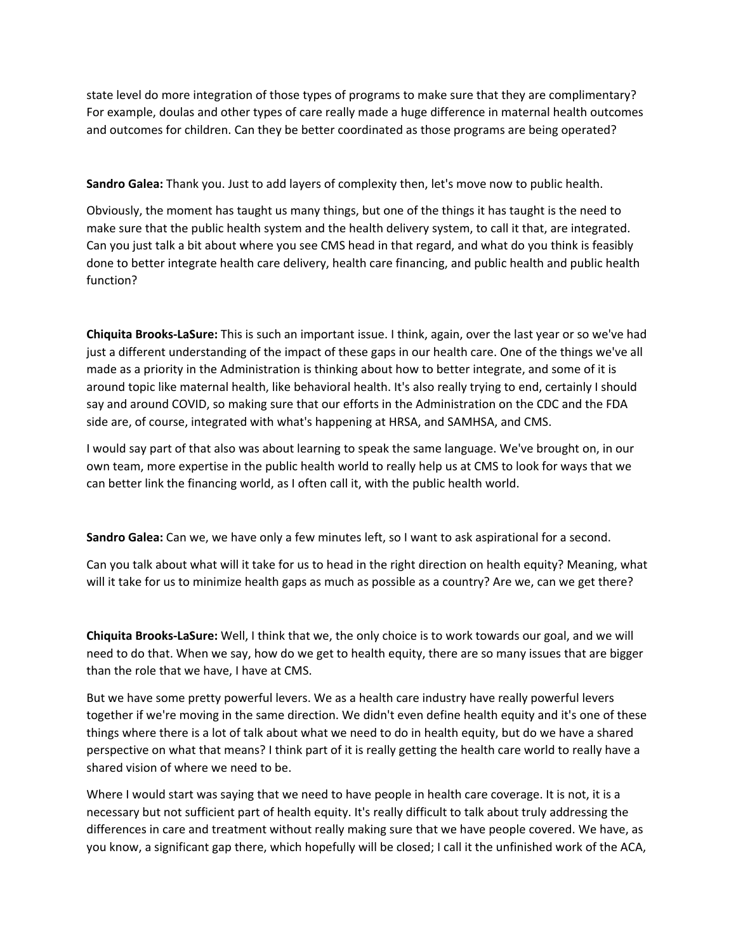state level do more integration of those types of programs to make sure that they are complimentary? For example, doulas and other types of care really made a huge difference in maternal health outcomes and outcomes for children. Can they be better coordinated as those programs are being operated?

**Sandro Galea:** Thank you. Just to add layers of complexity then, let's move now to public health.

Obviously, the moment has taught us many things, but one of the things it has taught is the need to make sure that the public health system and the health delivery system, to call it that, are integrated. Can you just talk a bit about where you see CMS head in that regard, and what do you think is feasibly done to better integrate health care delivery, health care financing, and public health and public health function?

**Chiquita Brooks‐LaSure:** This is such an important issue. I think, again, over the last year or so we've had just a different understanding of the impact of these gaps in our health care. One of the things we've all made as a priority in the Administration is thinking about how to better integrate, and some of it is around topic like maternal health, like behavioral health. It's also really trying to end, certainly I should say and around COVID, so making sure that our efforts in the Administration on the CDC and the FDA side are, of course, integrated with what's happening at HRSA, and SAMHSA, and CMS.

I would say part of that also was about learning to speak the same language. We've brought on, in our own team, more expertise in the public health world to really help us at CMS to look for ways that we can better link the financing world, as I often call it, with the public health world.

**Sandro Galea:** Can we, we have only a few minutes left, so I want to ask aspirational for a second.

Can you talk about what will it take for us to head in the right direction on health equity? Meaning, what will it take for us to minimize health gaps as much as possible as a country? Are we, can we get there?

**Chiquita Brooks‐LaSure:** Well, I think that we, the only choice is to work towards our goal, and we will need to do that. When we say, how do we get to health equity, there are so many issues that are bigger than the role that we have, I have at CMS.

But we have some pretty powerful levers. We as a health care industry have really powerful levers together if we're moving in the same direction. We didn't even define health equity and it's one of these things where there is a lot of talk about what we need to do in health equity, but do we have a shared perspective on what that means? I think part of it is really getting the health care world to really have a shared vision of where we need to be.

Where I would start was saying that we need to have people in health care coverage. It is not, it is a necessary but not sufficient part of health equity. It's really difficult to talk about truly addressing the differences in care and treatment without really making sure that we have people covered. We have, as you know, a significant gap there, which hopefully will be closed; I call it the unfinished work of the ACA,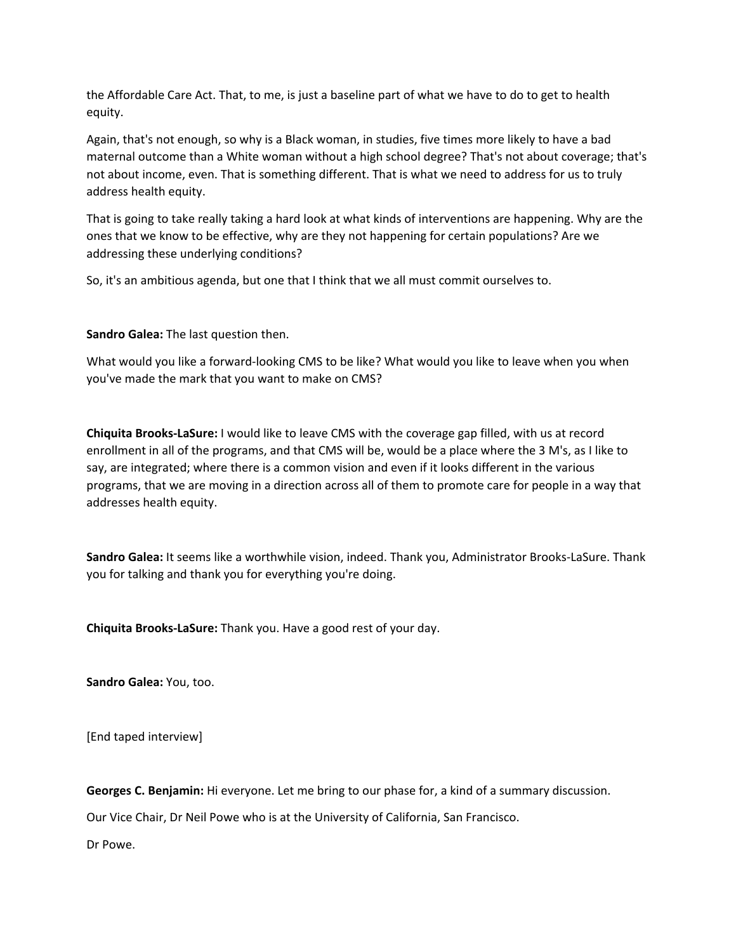the Affordable Care Act. That, to me, is just a baseline part of what we have to do to get to health equity.

Again, that's not enough, so why is a Black woman, in studies, five times more likely to have a bad maternal outcome than a White woman without a high school degree? That's not about coverage; that's not about income, even. That is something different. That is what we need to address for us to truly address health equity.

That is going to take really taking a hard look at what kinds of interventions are happening. Why are the ones that we know to be effective, why are they not happening for certain populations? Are we addressing these underlying conditions?

So, it's an ambitious agenda, but one that I think that we all must commit ourselves to.

**Sandro Galea:** The last question then.

What would you like a forward-looking CMS to be like? What would you like to leave when you when you've made the mark that you want to make on CMS?

**Chiquita Brooks‐LaSure:** I would like to leave CMS with the coverage gap filled, with us at record enrollment in all of the programs, and that CMS will be, would be a place where the 3 M's, as I like to say, are integrated; where there is a common vision and even if it looks different in the various programs, that we are moving in a direction across all of them to promote care for people in a way that addresses health equity.

**Sandro Galea:** It seems like a worthwhile vision, indeed. Thank you, Administrator Brooks‐LaSure. Thank you for talking and thank you for everything you're doing.

**Chiquita Brooks‐LaSure:** Thank you. Have a good rest of your day.

**Sandro Galea:** You, too.

[End taped interview]

**Georges C. Benjamin:** Hi everyone. Let me bring to our phase for, a kind of a summary discussion.

Our Vice Chair, Dr Neil Powe who is at the University of California, San Francisco.

Dr Powe.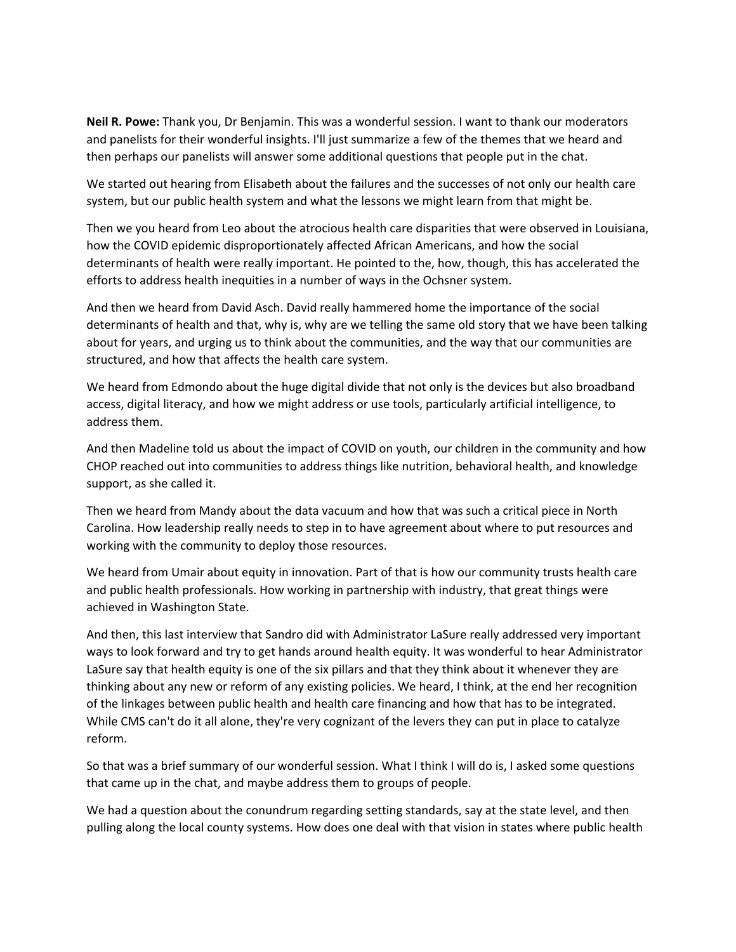**Neil R. Powe:** Thank you, Dr Benjamin. This was a wonderful session. I want to thank our moderators and panelists for their wonderful insights. I'll just summarize a few of the themes that we heard and then perhaps our panelists will answer some additional questions that people put in the chat.

We started out hearing from Elisabeth about the failures and the successes of not only our health care system, but our public health system and what the lessons we might learn from that might be.

Then we you heard from Leo about the atrocious health care disparities that were observed in Louisiana, how the COVID epidemic disproportionately affected African Americans, and how the social determinants of health were really important. He pointed to the, how, though, this has accelerated the efforts to address health inequities in a number of ways in the Ochsner system.

And then we heard from David Asch. David really hammered home the importance of the social determinants of health and that, why is, why are we telling the same old story that we have been talking about for years, and urging us to think about the communities, and the way that our communities are structured, and how that affects the health care system.

We heard from Edmondo about the huge digital divide that not only is the devices but also broadband access, digital literacy, and how we might address or use tools, particularly artificial intelligence, to address them.

And then Madeline told us about the impact of COVID on youth, our children in the community and how CHOP reached out into communities to address things like nutrition, behavioral health, and knowledge support, as she called it.

Then we heard from Mandy about the data vacuum and how that was such a critical piece in North Carolina. How leadership really needs to step in to have agreement about where to put resources and working with the community to deploy those resources.

We heard from Umair about equity in innovation. Part of that is how our community trusts health care and public health professionals. How working in partnership with industry, that great things were achieved in Washington State.

And then, this last interview that Sandro did with Administrator LaSure really addressed very important ways to look forward and try to get hands around health equity. It was wonderful to hear Administrator LaSure say that health equity is one of the six pillars and that they think about it whenever they are thinking about any new or reform of any existing policies. We heard, I think, at the end her recognition of the linkages between public health and health care financing and how that has to be integrated. While CMS can't do it all alone, they're very cognizant of the levers they can put in place to catalyze reform.

So that was a brief summary of our wonderful session. What I think I will do is, I asked some questions that came up in the chat, and maybe address them to groups of people.

We had a question about the conundrum regarding setting standards, say at the state level, and then pulling along the local county systems. How does one deal with that vision in states where public health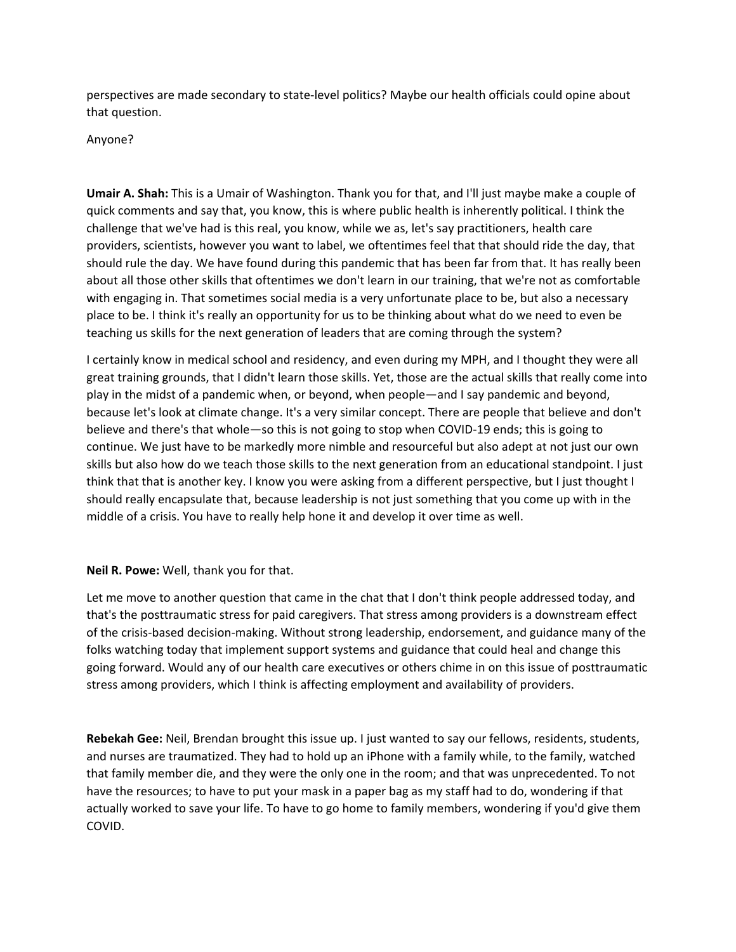perspectives are made secondary to state‐level politics? Maybe our health officials could opine about that question.

### Anyone?

**Umair A. Shah:** This is a Umair of Washington. Thank you for that, and I'll just maybe make a couple of quick comments and say that, you know, this is where public health is inherently political. I think the challenge that we've had is this real, you know, while we as, let's say practitioners, health care providers, scientists, however you want to label, we oftentimes feel that that should ride the day, that should rule the day. We have found during this pandemic that has been far from that. It has really been about all those other skills that oftentimes we don't learn in our training, that we're not as comfortable with engaging in. That sometimes social media is a very unfortunate place to be, but also a necessary place to be. I think it's really an opportunity for us to be thinking about what do we need to even be teaching us skills for the next generation of leaders that are coming through the system?

I certainly know in medical school and residency, and even during my MPH, and I thought they were all great training grounds, that I didn't learn those skills. Yet, those are the actual skills that really come into play in the midst of a pandemic when, or beyond, when people—and I say pandemic and beyond, because let's look at climate change. It's a very similar concept. There are people that believe and don't believe and there's that whole—so this is not going to stop when COVID‐19 ends; this is going to continue. We just have to be markedly more nimble and resourceful but also adept at not just our own skills but also how do we teach those skills to the next generation from an educational standpoint. I just think that that is another key. I know you were asking from a different perspective, but I just thought I should really encapsulate that, because leadership is not just something that you come up with in the middle of a crisis. You have to really help hone it and develop it over time as well.

## **Neil R. Powe:** Well, thank you for that.

Let me move to another question that came in the chat that I don't think people addressed today, and that's the posttraumatic stress for paid caregivers. That stress among providers is a downstream effect of the crisis‐based decision‐making. Without strong leadership, endorsement, and guidance many of the folks watching today that implement support systems and guidance that could heal and change this going forward. Would any of our health care executives or others chime in on this issue of posttraumatic stress among providers, which I think is affecting employment and availability of providers.

**Rebekah Gee:** Neil, Brendan brought this issue up. I just wanted to say our fellows, residents, students, and nurses are traumatized. They had to hold up an iPhone with a family while, to the family, watched that family member die, and they were the only one in the room; and that was unprecedented. To not have the resources; to have to put your mask in a paper bag as my staff had to do, wondering if that actually worked to save your life. To have to go home to family members, wondering if you'd give them COVID.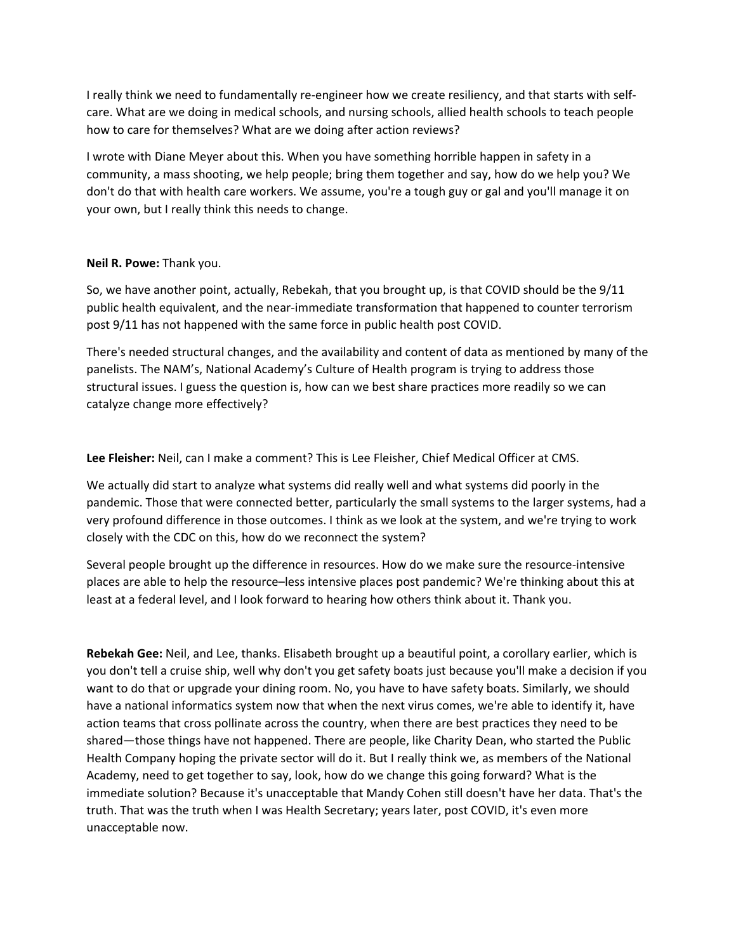I really think we need to fundamentally re‐engineer how we create resiliency, and that starts with self‐ care. What are we doing in medical schools, and nursing schools, allied health schools to teach people how to care for themselves? What are we doing after action reviews?

I wrote with Diane Meyer about this. When you have something horrible happen in safety in a community, a mass shooting, we help people; bring them together and say, how do we help you? We don't do that with health care workers. We assume, you're a tough guy or gal and you'll manage it on your own, but I really think this needs to change.

## **Neil R. Powe:** Thank you.

So, we have another point, actually, Rebekah, that you brought up, is that COVID should be the 9/11 public health equivalent, and the near‐immediate transformation that happened to counter terrorism post 9/11 has not happened with the same force in public health post COVID.

There's needed structural changes, and the availability and content of data as mentioned by many of the panelists. The NAM's, National Academy's Culture of Health program is trying to address those structural issues. I guess the question is, how can we best share practices more readily so we can catalyze change more effectively?

**Lee Fleisher:** Neil, can I make a comment? This is Lee Fleisher, Chief Medical Officer at CMS.

We actually did start to analyze what systems did really well and what systems did poorly in the pandemic. Those that were connected better, particularly the small systems to the larger systems, had a very profound difference in those outcomes. I think as we look at the system, and we're trying to work closely with the CDC on this, how do we reconnect the system?

Several people brought up the difference in resources. How do we make sure the resource‐intensive places are able to help the resource–less intensive places post pandemic? We're thinking about this at least at a federal level, and I look forward to hearing how others think about it. Thank you.

**Rebekah Gee:** Neil, and Lee, thanks. Elisabeth brought up a beautiful point, a corollary earlier, which is you don't tell a cruise ship, well why don't you get safety boats just because you'll make a decision if you want to do that or upgrade your dining room. No, you have to have safety boats. Similarly, we should have a national informatics system now that when the next virus comes, we're able to identify it, have action teams that cross pollinate across the country, when there are best practices they need to be shared—those things have not happened. There are people, like Charity Dean, who started the Public Health Company hoping the private sector will do it. But I really think we, as members of the National Academy, need to get together to say, look, how do we change this going forward? What is the immediate solution? Because it's unacceptable that Mandy Cohen still doesn't have her data. That's the truth. That was the truth when I was Health Secretary; years later, post COVID, it's even more unacceptable now.